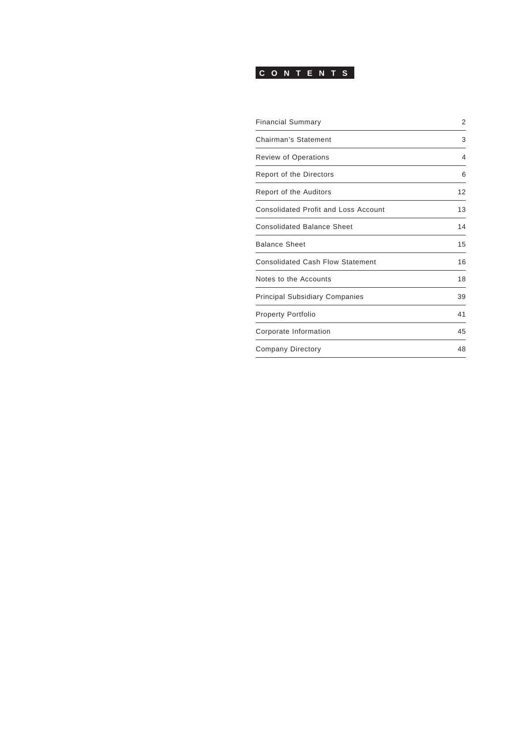

| <b>Financial Summary</b>                    | 2  |
|---------------------------------------------|----|
| Chairman's Statement                        | 3  |
| <b>Review of Operations</b>                 | 4  |
| <b>Report of the Directors</b>              | 6  |
| Report of the Auditors                      | 12 |
| <b>Consolidated Profit and Loss Account</b> | 13 |
| <b>Consolidated Balance Sheet</b>           | 14 |
| <b>Balance Sheet</b>                        | 15 |
| <b>Consolidated Cash Flow Statement</b>     | 16 |
| Notes to the Accounts                       | 18 |
| <b>Principal Subsidiary Companies</b>       | 39 |
| <b>Property Portfolio</b>                   | 41 |
| Corporate Information                       | 45 |
| <b>Company Directory</b>                    | 48 |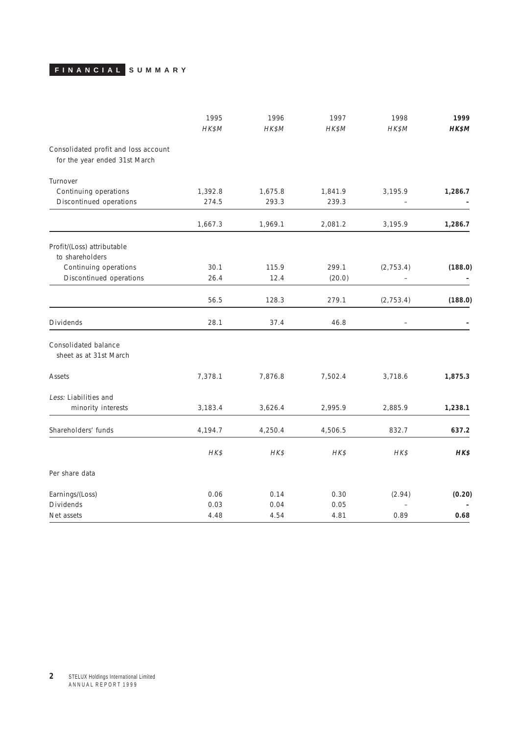# <span id="page-1-0"></span>**FINANCIAL SUMMARY**

|                                                                       | 1995     | 1996    | 1997    | 1998              | 1999    |
|-----------------------------------------------------------------------|----------|---------|---------|-------------------|---------|
|                                                                       | HK\$M    | HK\$M   | HK\$M   | HK\$M             | HK\$M   |
| Consolidated profit and loss account<br>for the year ended 31st March |          |         |         |                   |         |
| Turnover                                                              |          |         |         |                   |         |
| Continuing operations                                                 | 1,392.8  | 1,675.8 | 1,841.9 | 3,195.9           | 1,286.7 |
| Discontinued operations                                               | 274.5    | 293.3   | 239.3   |                   |         |
|                                                                       | 1,667.3  | 1,969.1 | 2,081.2 | 3,195.9           | 1,286.7 |
| Profit/(Loss) attributable                                            |          |         |         |                   |         |
| to shareholders                                                       |          |         |         |                   |         |
| Continuing operations                                                 | 30.1     | 115.9   | 299.1   | (2, 753.4)        | (188.0) |
| Discontinued operations                                               | 26.4     | 12.4    | (20.0)  |                   |         |
|                                                                       | 56.5     | 128.3   | 279.1   | (2, 753.4)        | (188.0) |
| Dividends                                                             | 28.1     | 37.4    | 46.8    | $\qquad \qquad -$ |         |
| Consolidated balance<br>sheet as at 31st March                        |          |         |         |                   |         |
| Assets                                                                | 7,378.1  | 7,876.8 | 7,502.4 | 3,718.6           | 1,875.3 |
| Less: Liabilities and                                                 |          |         |         |                   |         |
| minority interests                                                    | 3,183.4  | 3,626.4 | 2,995.9 | 2,885.9           | 1,238.1 |
| Shareholders' funds                                                   | 4,194.7  | 4,250.4 | 4,506.5 | 832.7             | 637.2   |
|                                                                       | $H K$ \$ | HK\$    | HK\$    | HK\$              | HK\$    |
| Per share data                                                        |          |         |         |                   |         |
| Earnings/(Loss)                                                       | 0.06     | 0.14    | 0.30    | (2.94)            | (0.20)  |
| Dividends                                                             | 0.03     | 0.04    | 0.05    |                   |         |
| Net assets                                                            | 4.48     | 4.54    | 4.81    | 0.89              | 0.68    |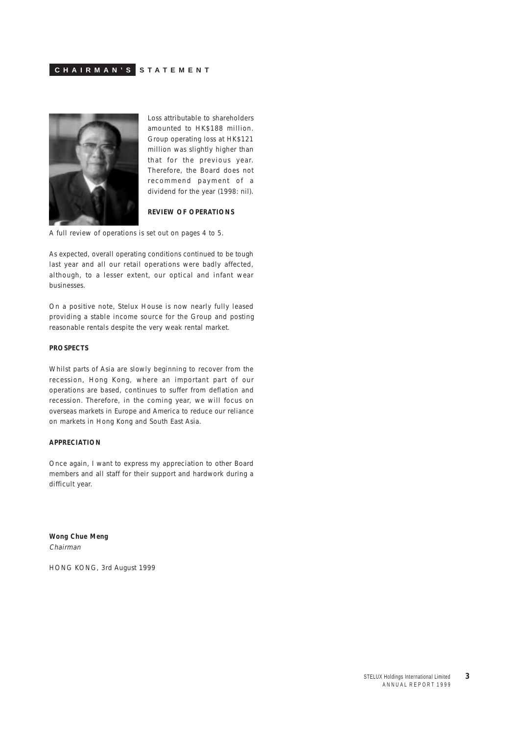### <span id="page-2-0"></span>**CHAIRMAN'S STATEMENT**



Loss attributable to shareholders amounted to HK\$188 million. Group operating loss at HK\$121 million was slightly higher than that for the previous year. Therefore, the Board does not recommend payment of a dividend for the year (1998: nil).

### **REVIEW OF OPERATIONS**

A full review of operations is set out on pages 4 to 5.

As expected, overall operating conditions continued to be tough last year and all our retail operations were badly affected, although, to a lesser extent, our optical and infant wear businesses.

On a positive note, Stelux House is now nearly fully leased providing a stable income source for the Group and posting reasonable rentals despite the very weak rental market.

### **PROSPECTS**

Whilst parts of Asia are slowly beginning to recover from the recession, Hong Kong, where an important part of our operations are based, continues to suffer from deflation and recession. Therefore, in the coming year, we will focus on overseas markets in Europe and America to reduce our reliance on markets in Hong Kong and South East Asia.

### **APPRECIATION**

Once again, I want to express my appreciation to other Board members and all staff for their support and hardwork during a difficult year.

**Wong Chue Meng** Chairman

HONG KONG, 3rd August 1999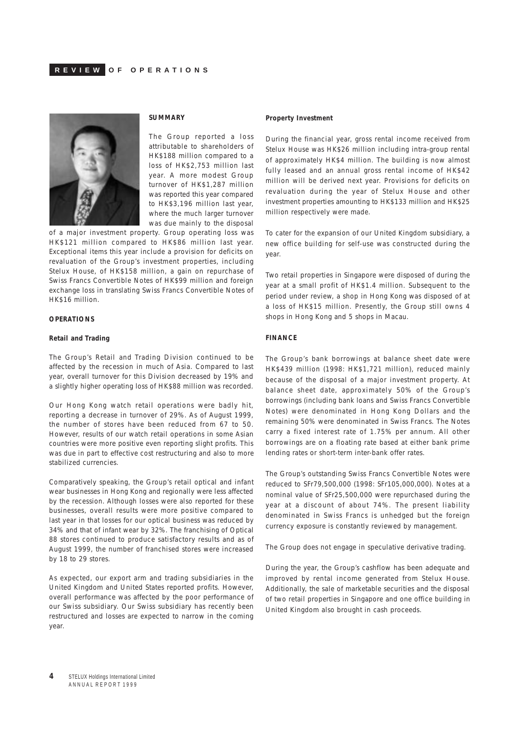<span id="page-3-0"></span>

### **SUMMARY**

The Group reported a loss attributable to shareholders of HK\$188 million compared to a loss of HK\$2,753 million last year. A more modest Group turnover of HK\$1,287 million was reported this year compared to HK\$3,196 million last year, where the much larger turnover was due mainly to the disposal

of a major investment property. Group operating loss was HK\$121 million compared to HK\$86 million last year. Exceptional items this year include a provision for deficits on revaluation of the Group's investment properties, including Stelux House, of HK\$158 million, a gain on repurchase of Swiss Francs Convertible Notes of HK\$99 million and foreign exchange loss in translating Swiss Francs Convertible Notes of HK\$16 million.

### **OPERATIONS**

#### **Retail and Trading**

The Group's Retail and Trading Division continued to be affected by the recession in much of Asia. Compared to last year, overall turnover for this Division decreased by 19% and a slightly higher operating loss of HK\$88 million was recorded.

Our Hong Kong watch retail operations were badly hit, reporting a decrease in turnover of 29%. As of August 1999, the number of stores have been reduced from 67 to 50. However, results of our watch retail operations in some Asian countries were more positive even reporting slight profits. This was due in part to effective cost restructuring and also to more stabilized currencies.

Comparatively speaking, the Group's retail optical and infant wear businesses in Hong Kong and regionally were less affected by the recession. Although losses were also reported for these businesses, overall results were more positive compared to last year in that losses for our optical business was reduced by 34% and that of infant wear by 32%. The franchising of Optical 88 stores continued to produce satisfactory results and as of August 1999, the number of franchised stores were increased by 18 to 29 stores.

As expected, our export arm and trading subsidiaries in the United Kingdom and United States reported profits. However, overall performance was affected by the poor performance of our Swiss subsidiary. Our Swiss subsidiary has recently been restructured and losses are expected to narrow in the coming year.

#### **Property Investment**

During the financial year, gross rental income received from Stelux House was HK\$26 million including intra-group rental of approximately HK\$4 million. The building is now almost fully leased and an annual gross rental income of HK\$42 million will be derived next year. Provisions for deficits on revaluation during the year of Stelux House and other investment properties amounting to HK\$133 million and HK\$25 million respectively were made.

To cater for the expansion of our United Kingdom subsidiary, a new office building for self-use was constructed during the year.

Two retail properties in Singapore were disposed of during the year at a small profit of HK\$1.4 million. Subsequent to the period under review, a shop in Hong Kong was disposed of at a loss of HK\$15 million. Presently, the Group still owns 4 shops in Hong Kong and 5 shops in Macau.

### **FINANCE**

The Group's bank borrowings at balance sheet date were HK\$439 million (1998: HK\$1,721 million), reduced mainly because of the disposal of a major investment property. At balance sheet date, approximately 50% of the Group's borrowings (including bank loans and Swiss Francs Convertible Notes) were denominated in Hong Kong Dollars and the remaining 50% were denominated in Swiss Francs. The Notes carry a fixed interest rate of 1.75% per annum. All other borrowings are on a floating rate based at either bank prime lending rates or short-term inter-bank offer rates.

The Group's outstanding Swiss Francs Convertible Notes were reduced to SFr79,500,000 (1998: SFr105,000,000). Notes at a nominal value of SFr25,500,000 were repurchased during the year at a discount of about 74%. The present liability denominated in Swiss Francs is unhedged but the foreign currency exposure is constantly reviewed by management.

The Group does not engage in speculative derivative trading.

During the year, the Group's cashflow has been adequate and improved by rental income generated from Stelux House. Additionally, the sale of marketable securities and the disposal of two retail properties in Singapore and one office building in United Kingdom also brought in cash proceeds.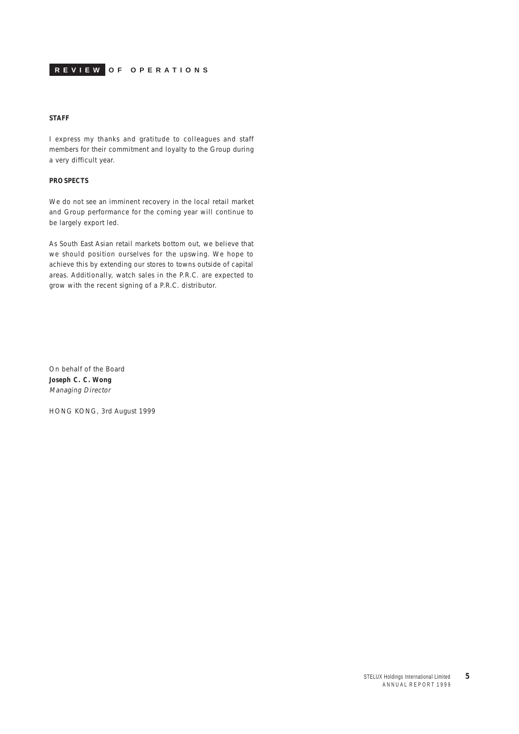**REVIEW OF OPERATIONS**

### **STAFF**

I express my thanks and gratitude to colleagues and staff members for their commitment and loyalty to the Group during a very difficult year.

### **PROSPECTS**

We do not see an imminent recovery in the local retail market and Group performance for the coming year will continue to be largely export led.

As South East Asian retail markets bottom out, we believe that we should position ourselves for the upswing. We hope to achieve this by extending our stores to towns outside of capital areas. Additionally, watch sales in the P.R.C. are expected to grow with the recent signing of a P.R.C. distributor.

On behalf of the Board **Joseph C. C. Wong** Managing Director

HONG KONG, 3rd August 1999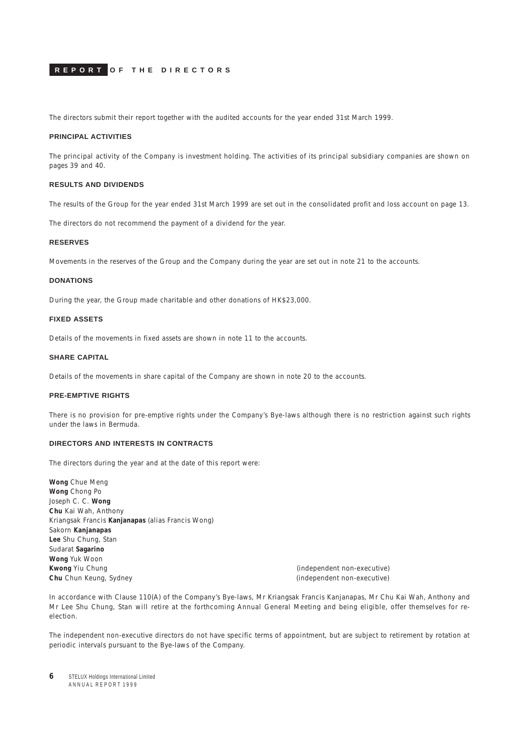<span id="page-5-0"></span>The directors submit their report together with the audited accounts for the year ended 31st March 1999.

### **PRINCIPAL ACTIVITIES**

The principal activity of the Company is investment holding. The activities of its principal subsidiary companies are shown on pages 39 and 40.

### **RESULTS AND DIVIDENDS**

The results of the Group for the year ended 31st March 1999 are set out in the consolidated profit and loss account on page 13.

The directors do not recommend the payment of a dividend for the year.

### **RESERVES**

Movements in the reserves of the Group and the Company during the year are set out in note 21 to the accounts.

#### **DONATIONS**

During the year, the Group made charitable and other donations of HK\$23,000.

### **FIXED ASSETS**

Details of the movements in fixed assets are shown in note 11 to the accounts.

### **SHARE CAPITAL**

Details of the movements in share capital of the Company are shown in note 20 to the accounts.

### **PRE-EMPTIVE RIGHTS**

There is no provision for pre-emptive rights under the Company's Bye-laws although there is no restriction against such rights under the laws in Bermuda.

### **DIRECTORS AND INTERESTS IN CONTRACTS**

The directors during the year and at the date of this report were:

**Wong** Chue Meng **Wong** Chong Po Joseph C. C. **Wong Chu** Kai Wah, Anthony Kriangsak Francis **Kanjanapas** (alias Francis Wong) Sakorn **Kanjanapas Lee** Shu Chung, Stan Sudarat **Sagarino Wong** Yuk Woon **Kwong** Yiu Chung (independent non-executive) **Chu** Chun Keung, Sydney **Chu Chun Keung, Sydney** (independent non-executive)

In accordance with Clause 110(A) of the Company's Bye-laws, Mr Kriangsak Francis Kanjanapas, Mr Chu Kai Wah, Anthony and Mr Lee Shu Chung, Stan will retire at the forthcoming Annual General Meeting and being eligible, offer themselves for reelection.

The independent non-executive directors do not have specific terms of appointment, but are subject to retirement by rotation at periodic intervals pursuant to the Bye-laws of the Company.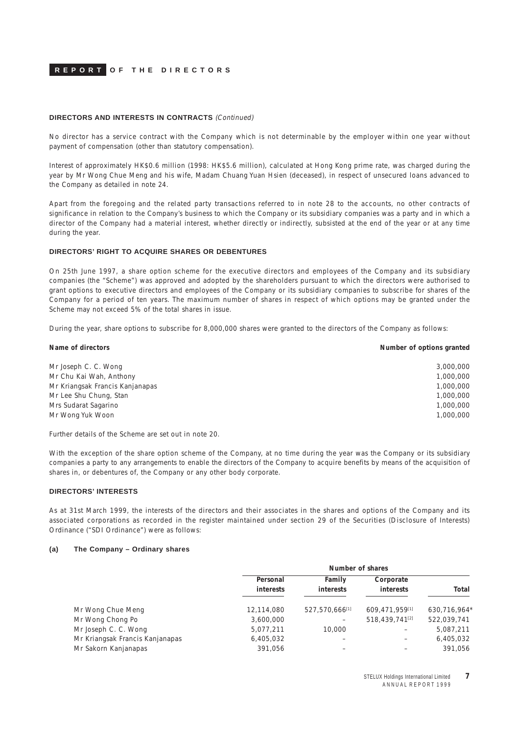#### **DIRECTORS AND INTERESTS IN CONTRACTS** (Continued)

No director has a service contract with the Company which is not determinable by the employer within one year without payment of compensation (other than statutory compensation).

Interest of approximately HK\$0.6 million (1998: HK\$5.6 million), calculated at Hong Kong prime rate, was charged during the year by Mr Wong Chue Meng and his wife, Madam Chuang Yuan Hsien (deceased), in respect of unsecured loans advanced to the Company as detailed in note 24.

Apart from the foregoing and the related party transactions referred to in note 28 to the accounts, no other contracts of significance in relation to the Company's business to which the Company or its subsidiary companies was a party and in which a director of the Company had a material interest, whether directly or indirectly, subsisted at the end of the year or at any time during the year.

#### **DIRECTORS' RIGHT TO ACQUIRE SHARES OR DEBENTURES**

On 25th June 1997, a share option scheme for the executive directors and employees of the Company and its subsidiary companies (the "Scheme") was approved and adopted by the shareholders pursuant to which the directors were authorised to grant options to executive directors and employees of the Company or its subsidiary companies to subscribe for shares of the Company for a period of ten years. The maximum number of shares in respect of which options may be granted under the Scheme may not exceed 5% of the total shares in issue.

During the year, share options to subscribe for 8,000,000 shares were granted to the directors of the Company as follows:

| Number of options granted |
|---------------------------|
| 3,000,000                 |
| 1,000,000                 |
| 1,000,000                 |
| 1,000,000                 |
| 1,000,000                 |
| 1,000,000                 |
|                           |

Further details of the Scheme are set out in note 20.

With the exception of the share option scheme of the Company, at no time during the year was the Company or its subsidiary companies a party to any arrangements to enable the directors of the Company to acquire benefits by means of the acquisition of shares in, or debentures of, the Company or any other body corporate.

### **DIRECTORS' INTERESTS**

As at 31st March 1999, the interests of the directors and their associates in the shares and options of the Company and its associated corporations as recorded in the register maintained under section 29 of the Securities (Disclosure of Interests) Ordinance ("SDI Ordinance") were as follows:

### **(a) The Company – Ordinary shares**

|                                 |                              | Number of shares           |                            |              |  |
|---------------------------------|------------------------------|----------------------------|----------------------------|--------------|--|
|                                 | Personal<br><i>interests</i> | Family<br><i>interests</i> | Corporate<br>interests     | Total        |  |
| Mr Wong Chue Meng               | 12,114,080                   | 527,570,666[1]             | 609.471.959[1]             | 630,716,964* |  |
| Mr Wong Chong Po                | 3,600,000                    |                            | 518,439,741 <sup>[2]</sup> | 522.039.741  |  |
| Mr Joseph C. C. Wong            | 5,077,211                    | 10,000                     |                            | 5,087,211    |  |
| Mr Kriangsak Francis Kanjanapas | 6,405,032                    |                            |                            | 6,405,032    |  |
| Mr Sakorn Kanjanapas            | 391.056                      |                            |                            | 391.056      |  |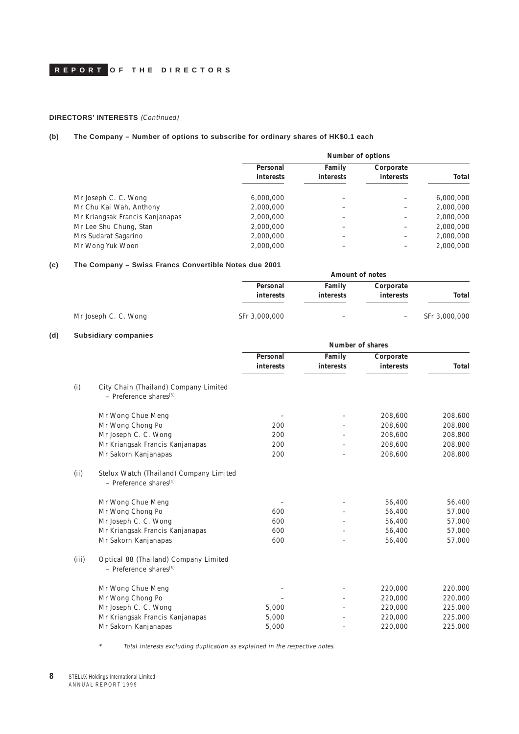### **DIRECTORS' INTERESTS** (Continued)

### **(b) The Company – Number of options to subscribe for ordinary shares of HK\$0.1 each**

|                                 | Number of options            |                            |                               |           |
|---------------------------------|------------------------------|----------------------------|-------------------------------|-----------|
|                                 | Personal<br><i>interests</i> | Family<br><b>interests</b> | Corporate<br><i>interests</i> | Total     |
|                                 |                              |                            |                               |           |
| Mr Joseph C. C. Wong            | 6,000,000                    |                            |                               | 6,000,000 |
| Mr Chu Kai Wah, Anthony         | 2,000,000                    |                            |                               | 2,000,000 |
| Mr Kriangsak Francis Kanjanapas | 2,000,000                    |                            |                               | 2,000,000 |
| Mr Lee Shu Chung, Stan          | 2,000,000                    |                            |                               | 2,000,000 |
| Mrs Sudarat Sagarino            | 2,000,000                    |                            |                               | 2,000,000 |
| Mr Wong Yuk Woon                | 2,000,000                    |                            |                               | 2,000,000 |

### **(c) The Company – Swiss Francs Convertible Notes due 2001**

|               |                        |                     | <b>ONICO I TUNIVO OUNTVERNIO NORGO UUC LUVI</b> | THE SUMMER           |
|---------------|------------------------|---------------------|-------------------------------------------------|----------------------|
|               |                        | Amount of notes     |                                                 |                      |
| Total         | Corporate<br>interests | Family<br>interests | Personal<br>interests                           |                      |
| SFr 3,000,000 | -                      |                     | SFr 3,000,000                                   | Mr Joseph C. C. Wong |

### **(d) Subsidiary companies**

|       |                                                                                 | Number of shares      |                     |                        |         |
|-------|---------------------------------------------------------------------------------|-----------------------|---------------------|------------------------|---------|
|       |                                                                                 | Personal<br>interests | Family<br>interests | Corporate<br>interests | Total   |
|       |                                                                                 |                       |                     |                        |         |
| (i)   | City Chain (Thailand) Company Limited<br>- Preference shares <sup>[3]</sup>     |                       |                     |                        |         |
|       | Mr Wong Chue Meng                                                               |                       |                     | 208,600                | 208,600 |
|       | Mr Wong Chong Po                                                                | 200                   |                     | 208,600                | 208,800 |
|       | Mr Joseph C. C. Wong                                                            | 200                   |                     | 208,600                | 208,800 |
|       | Mr Kriangsak Francis Kanjanapas                                                 | 200                   |                     | 208,600                | 208,800 |
|       | Mr Sakorn Kanjanapas                                                            | 200                   |                     | 208,600                | 208,800 |
| (ii)  | Stelux Watch (Thailand) Company Limited<br>$-$ Preference shares <sup>[4]</sup> |                       |                     |                        |         |
|       | Mr Wong Chue Meng                                                               |                       |                     | 56,400                 | 56,400  |
|       | Mr Wong Chong Po                                                                | 600                   |                     | 56,400                 | 57,000  |
|       | Mr Joseph C. C. Wong                                                            | 600                   |                     | 56,400                 | 57,000  |
|       | Mr Kriangsak Francis Kanjanapas                                                 | 600                   |                     | 56,400                 | 57,000  |
|       | Mr Sakorn Kanjanapas                                                            | 600                   |                     | 56,400                 | 57,000  |
| (iii) | Optical 88 (Thailand) Company Limited<br>- Preference shares <sup>[5]</sup>     |                       |                     |                        |         |
|       | Mr Wong Chue Meng                                                               |                       |                     | 220,000                | 220,000 |
|       | Mr Wong Chong Po                                                                |                       |                     | 220,000                | 220,000 |
|       | Mr Joseph C. C. Wong                                                            | 5,000                 |                     | 220,000                | 225,000 |
|       | Mr Kriangsak Francis Kanjanapas                                                 | 5,000                 |                     | 220,000                | 225,000 |
|       | Mr Sakorn Kanjanapas                                                            | 5,000                 |                     | 220,000                | 225,000 |
|       |                                                                                 |                       |                     |                        |         |

\*Total interests excluding duplication as explained in the respective notes.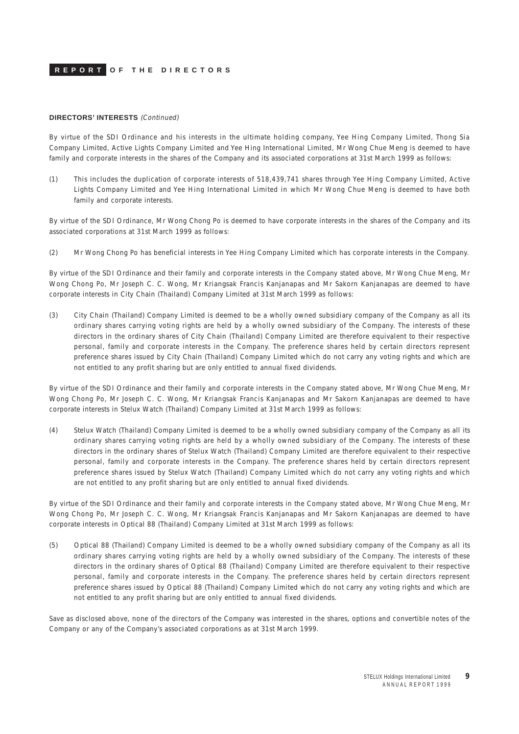#### **DIRECTORS' INTERESTS** (Continued)

By virtue of the SDI Ordinance and his interests in the ultimate holding company, Yee Hing Company Limited, Thong Sia Company Limited, Active Lights Company Limited and Yee Hing International Limited, Mr Wong Chue Meng is deemed to have family and corporate interests in the shares of the Company and its associated corporations at 31st March 1999 as follows:

(1) This includes the duplication of corporate interests of 518,439,741 shares through Yee Hing Company Limited, Active Lights Company Limited and Yee Hing International Limited in which Mr Wong Chue Meng is deemed to have both family and corporate interests.

By virtue of the SDI Ordinance, Mr Wong Chong Po is deemed to have corporate interests in the shares of the Company and its associated corporations at 31st March 1999 as follows:

(2) Mr Wong Chong Po has beneficial interests in Yee Hing Company Limited which has corporate interests in the Company.

By virtue of the SDI Ordinance and their family and corporate interests in the Company stated above, Mr Wong Chue Meng, Mr Wong Chong Po, Mr Joseph C. C. Wong, Mr Kriangsak Francis Kanjanapas and Mr Sakorn Kanjanapas are deemed to have corporate interests in City Chain (Thailand) Company Limited at 31st March 1999 as follows:

(3) City Chain (Thailand) Company Limited is deemed to be a wholly owned subsidiary company of the Company as all its ordinary shares carrying voting rights are held by a wholly owned subsidiary of the Company. The interests of these directors in the ordinary shares of City Chain (Thailand) Company Limited are therefore equivalent to their respective personal, family and corporate interests in the Company. The preference shares held by certain directors represent preference shares issued by City Chain (Thailand) Company Limited which do not carry any voting rights and which are not entitled to any profit sharing but are only entitled to annual fixed dividends.

By virtue of the SDI Ordinance and their family and corporate interests in the Company stated above, Mr Wong Chue Meng, Mr Wong Chong Po, Mr Joseph C. C. Wong, Mr Kriangsak Francis Kanjanapas and Mr Sakorn Kanjanapas are deemed to have corporate interests in Stelux Watch (Thailand) Company Limited at 31st March 1999 as follows:

(4) Stelux Watch (Thailand) Company Limited is deemed to be a wholly owned subsidiary company of the Company as all its ordinary shares carrying voting rights are held by a wholly owned subsidiary of the Company. The interests of these directors in the ordinary shares of Stelux Watch (Thailand) Company Limited are therefore equivalent to their respective personal, family and corporate interests in the Company. The preference shares held by certain directors represent preference shares issued by Stelux Watch (Thailand) Company Limited which do not carry any voting rights and which are not entitled to any profit sharing but are only entitled to annual fixed dividends.

By virtue of the SDI Ordinance and their family and corporate interests in the Company stated above, Mr Wong Chue Meng, Mr Wong Chong Po, Mr Joseph C. C. Wong, Mr Kriangsak Francis Kanjanapas and Mr Sakorn Kanjanapas are deemed to have corporate interests in Optical 88 (Thailand) Company Limited at 31st March 1999 as follows:

(5) Optical 88 (Thailand) Company Limited is deemed to be a wholly owned subsidiary company of the Company as all its ordinary shares carrying voting rights are held by a wholly owned subsidiary of the Company. The interests of these directors in the ordinary shares of Optical 88 (Thailand) Company Limited are therefore equivalent to their respective personal, family and corporate interests in the Company. The preference shares held by certain directors represent preference shares issued by Optical 88 (Thailand) Company Limited which do not carry any voting rights and which are not entitled to any profit sharing but are only entitled to annual fixed dividends.

Save as disclosed above, none of the directors of the Company was interested in the shares, options and convertible notes of the Company or any of the Company's associated corporations as at 31st March 1999.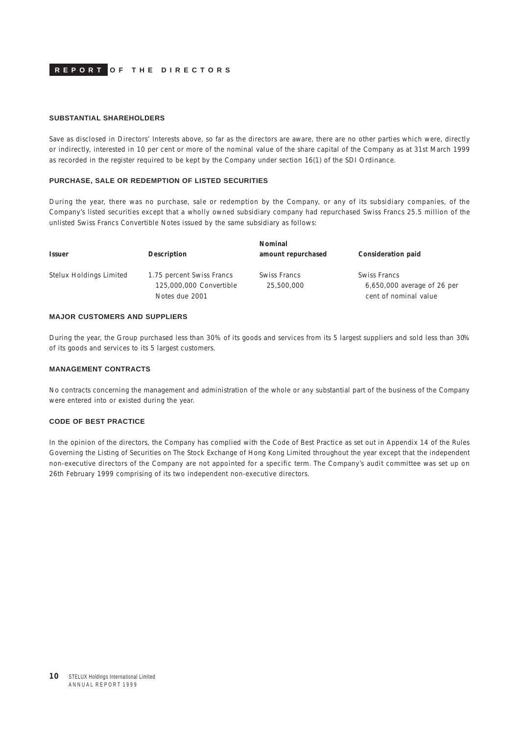#### **SUBSTANTIAL SHAREHOLDERS**

Save as disclosed in Directors' Interests above, so far as the directors are aware, there are no other parties which were, directly or indirectly, interested in 10 per cent or more of the nominal value of the share capital of the Company as at 31st March 1999 as recorded in the register required to be kept by the Company under section 16(1) of the SDI Ordinance.

#### **PURCHASE, SALE OR REDEMPTION OF LISTED SECURITIES**

During the year, there was no purchase, sale or redemption by the Company, or any of its subsidiary companies, of the Company's listed securities except that a wholly owned subsidiary company had repurchased Swiss Francs 25.5 million of the unlisted Swiss Francs Convertible Notes issued by the same subsidiary as follows:

| <b>Issuer</b>           | Description                                                            | Nominal<br>amount repurchased | Consideration paid                                                   |
|-------------------------|------------------------------------------------------------------------|-------------------------------|----------------------------------------------------------------------|
|                         |                                                                        |                               |                                                                      |
| Stelux Holdings Limited | 1.75 percent Swiss Francs<br>125,000,000 Convertible<br>Notes due 2001 | Swiss Francs<br>25,500,000    | Swiss Francs<br>6,650,000 average of 26 per<br>cent of nominal value |

### **MAJOR CUSTOMERS AND SUPPLIERS**

During the year, the Group purchased less than 30% of its goods and services from its 5 largest suppliers and sold less than 30% of its goods and services to its 5 largest customers.

#### **MANAGEMENT CONTRACTS**

No contracts concerning the management and administration of the whole or any substantial part of the business of the Company were entered into or existed during the year.

### **CODE OF BEST PRACTICE**

In the opinion of the directors, the Company has complied with the Code of Best Practice as set out in Appendix 14 of the Rules Governing the Listing of Securities on The Stock Exchange of Hong Kong Limited throughout the year except that the independent non-executive directors of the Company are not appointed for a specific term. The Company's audit committee was set up on 26th February 1999 comprising of its two independent non-executive directors.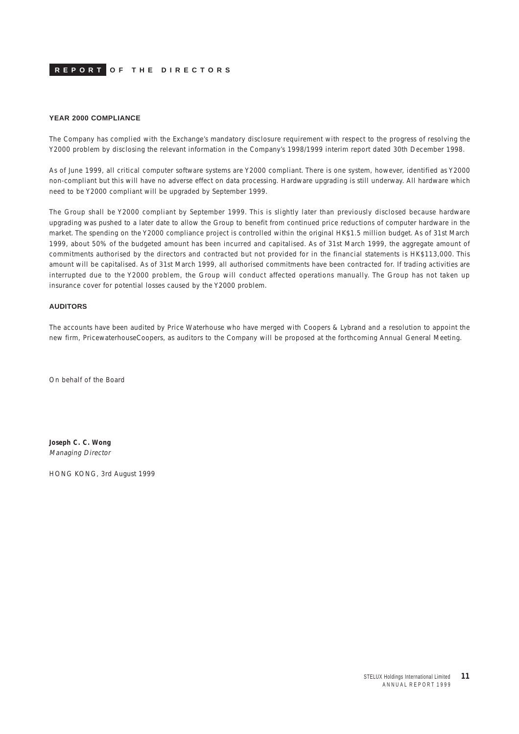#### **YEAR 2000 COMPLIANCE**

The Company has complied with the Exchange's mandatory disclosure requirement with respect to the progress of resolving the Y2000 problem by disclosing the relevant information in the Company's 1998/1999 interim report dated 30th December 1998.

As of June 1999, all critical computer software systems are Y2000 compliant. There is one system, however, identified as Y2000 non-compliant but this will have no adverse effect on data processing. Hardware upgrading is still underway. All hardware which need to be Y2000 compliant will be upgraded by September 1999.

The Group shall be Y2000 compliant by September 1999. This is slightly later than previously disclosed because hardware upgrading was pushed to a later date to allow the Group to benefit from continued price reductions of computer hardware in the market. The spending on the Y2000 compliance project is controlled within the original HK\$1.5 million budget. As of 31st March 1999, about 50% of the budgeted amount has been incurred and capitalised. As of 31st March 1999, the aggregate amount of commitments authorised by the directors and contracted but not provided for in the financial statements is HK\$113,000. This amount will be capitalised. As of 31st March 1999, all authorised commitments have been contracted for. If trading activities are interrupted due to the Y2000 problem, the Group will conduct affected operations manually. The Group has not taken up insurance cover for potential losses caused by the Y2000 problem.

#### **AUDITORS**

The accounts have been audited by Price Waterhouse who have merged with Coopers & Lybrand and a resolution to appoint the new firm, PricewaterhouseCoopers, as auditors to the Company will be proposed at the forthcoming Annual General Meeting.

On behalf of the Board

**Joseph C. C. Wong** Managing Director

HONG KONG, 3rd August 1999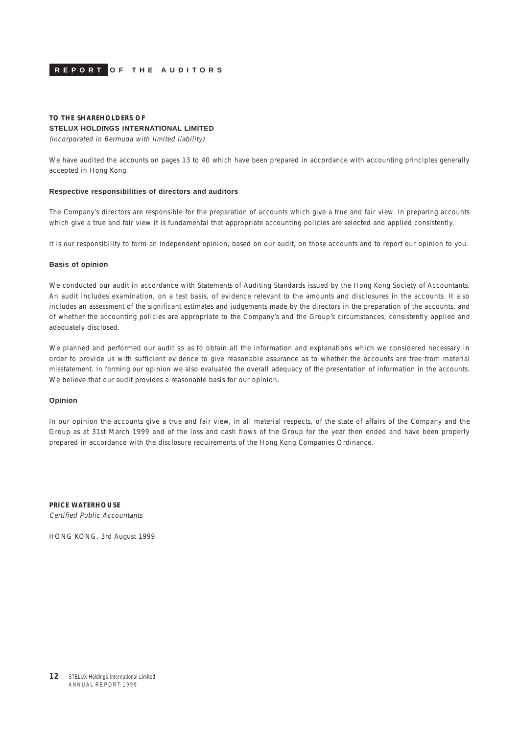<span id="page-11-0"></span>

### **TO THE SHAREHOLDERS OF STELUX HOLDINGS INTERNATIONAL LIMITED**

(incorporated in Bermuda with limited liability)

We have audited the accounts on pages 13 to 40 which have been prepared in accordance with accounting principles generally accepted in Hong Kong.

### **Respective responsibilities of directors and auditors**

The Company's directors are responsible for the preparation of accounts which give a true and fair view. In preparing accounts which give a true and fair view it is fundamental that appropriate accounting policies are selected and applied consistently.

It is our responsibility to form an independent opinion, based on our audit, on those accounts and to report our opinion to you.

#### **Basis of opinion**

We conducted our audit in accordance with Statements of Auditing Standards issued by the Hong Kong Society of Accountants. An audit includes examination, on a test basis, of evidence relevant to the amounts and disclosures in the accounts. It also includes an assessment of the significant estimates and judgements made by the directors in the preparation of the accounts, and of whether the accounting policies are appropriate to the Company's and the Group's circumstances, consistently applied and adequately disclosed.

We planned and performed our audit so as to obtain all the information and explanations which we considered necessary in order to provide us with sufficient evidence to give reasonable assurance as to whether the accounts are free from material misstatement. In forming our opinion we also evaluated the overall adequacy of the presentation of information in the accounts. We believe that our audit provides a reasonable basis for our opinion.

### **Opinion**

In our opinion the accounts give a true and fair view, in all material respects, of the state of affairs of the Company and the Group as at 31st March 1999 and of the loss and cash flows of the Group for the year then ended and have been properly prepared in accordance with the disclosure requirements of the Hong Kong Companies Ordinance.

**PRICE WATERHOUSE** Certified Public Accountants

HONG KONG, 3rd August 1999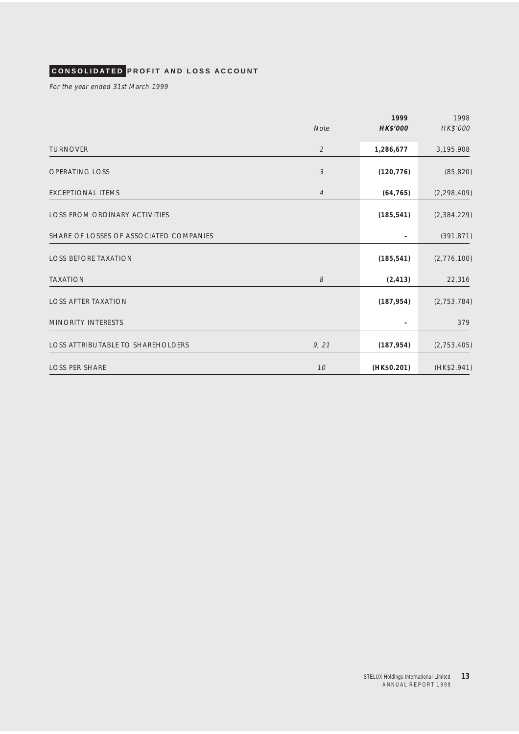# <span id="page-12-0"></span>**CONSOLIDATED PROFIT AND LOSS ACCOUNT**

For the year ended 31st March 1999

|                                          |                            | 1999        | 1998          |
|------------------------------------------|----------------------------|-------------|---------------|
|                                          | Note                       | HK\$'000    | HK\$'000      |
| <b>TURNOVER</b>                          | $\overline{2}$             | 1,286,677   | 3,195,908     |
| <b>OPERATING LOSS</b>                    | $\ensuremath{\mathcal{S}}$ | (120, 776)  | (85, 820)     |
| EXCEPTIONAL ITEMS                        | $\overline{4}$             | (64, 765)   | (2, 298, 409) |
| <b>LOSS FROM ORDINARY ACTIVITIES</b>     |                            | (185, 541)  | (2,384,229)   |
| SHARE OF LOSSES OF ASSOCIATED COMPANIES  |                            |             | (391, 871)    |
| <b>LOSS BEFORE TAXATION</b>              |                            | (185, 541)  | (2,776,100)   |
| <b>TAXATION</b>                          | 8                          | (2, 413)    | 22,316        |
| <b>LOSS AFTER TAXATION</b>               |                            | (187, 954)  | (2, 753, 784) |
| <b>MINORITY INTERESTS</b>                |                            |             | 379           |
| <b>LOSS ATTRIBUTABLE TO SHAREHOLDERS</b> | 9, 21                      | (187, 954)  | (2, 753, 405) |
| <b>LOSS PER SHARE</b>                    | 10                         | (HK\$0.201) | (HK\$2.941)   |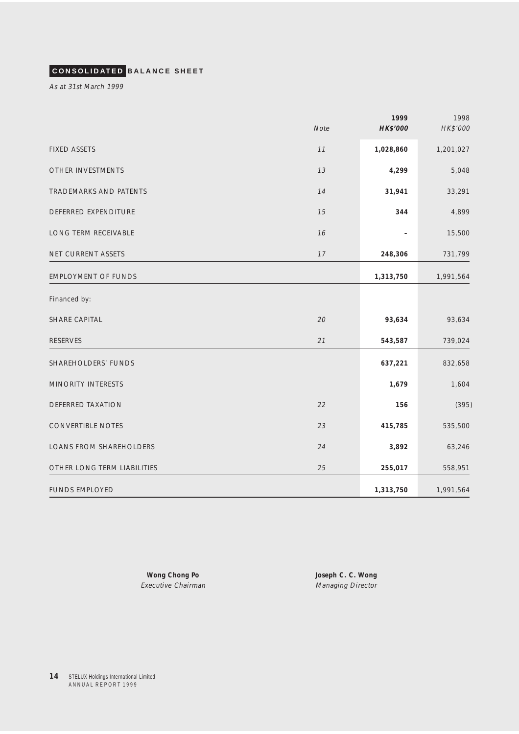# <span id="page-13-0"></span>**CONSOLIDATED BALANCE SHEET**

As at 31st March 1999

|                             | <b>Note</b> | 1999<br>HK\$'000 | 1998<br>HK\$'000 |
|-----------------------------|-------------|------------------|------------------|
| <b>FIXED ASSETS</b>         | $11$        | 1,028,860        | 1,201,027        |
| OTHER INVESTMENTS           | 13          | 4,299            | 5,048            |
| TRADEMARKS AND PATENTS      | 14          | 31,941           | 33,291           |
| DEFERRED EXPENDITURE        | 15          | 344              | 4,899            |
| LONG TERM RECEIVABLE        | 16          |                  | 15,500           |
| NET CURRENT ASSETS          | 17          | 248,306          | 731,799          |
| <b>EMPLOYMENT OF FUNDS</b>  |             | 1,313,750        | 1,991,564        |
| Financed by:                |             |                  |                  |
| SHARE CAPITAL               | 20          | 93,634           | 93,634           |
| <b>RESERVES</b>             | 21          | 543,587          | 739,024          |
| SHAREHOLDERS' FUNDS         |             | 637,221          | 832,658          |
| MINORITY INTERESTS          |             | 1,679            | 1,604            |
| <b>DEFERRED TAXATION</b>    | 22          | 156              | (395)            |
| CONVERTIBLE NOTES           | 23          | 415,785          | 535,500          |
| LOANS FROM SHAREHOLDERS     | 24          | 3,892            | 63,246           |
| OTHER LONG TERM LIABILITIES | 25          | 255,017          | 558,951          |
| <b>FUNDS EMPLOYED</b>       |             | 1,313,750        | 1,991,564        |

**Wong Chong Po Joseph C. C. Wong** Executive Chairman Managing Director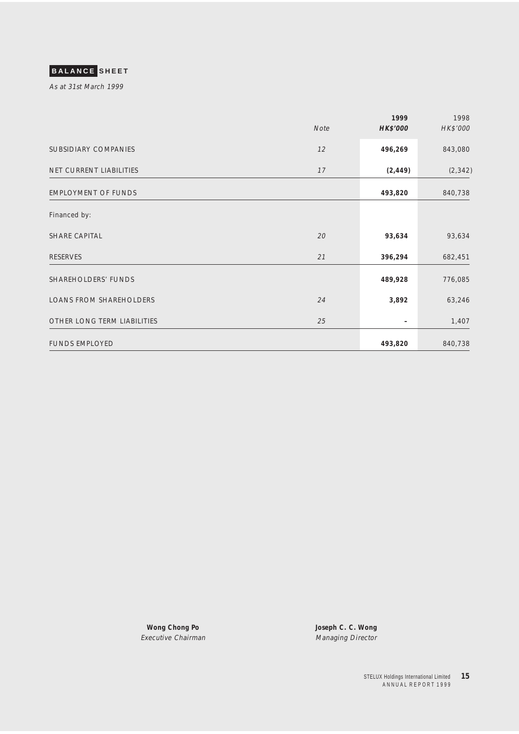# <span id="page-14-0"></span>**BALANCE SHEET**

As at 31st March 1999

|                                | Note | 1999<br><b>HK\$'000</b> | 1998<br>HK\$'000 |
|--------------------------------|------|-------------------------|------------------|
| SUBSIDIARY COMPANIES           | 12   | 496,269                 | 843,080          |
| NET CURRENT LIABILITIES        | 17   | (2, 449)                | (2, 342)         |
| <b>EMPLOYMENT OF FUNDS</b>     |      | 493,820                 | 840,738          |
| Financed by:                   |      |                         |                  |
| SHARE CAPITAL                  | 20   | 93,634                  | 93,634           |
| <b>RESERVES</b>                | 21   | 396,294                 | 682,451          |
| SHAREHOLDERS' FUNDS            |      | 489,928                 | 776,085          |
| <b>LOANS FROM SHAREHOLDERS</b> | 24   | 3,892                   | 63,246           |
| OTHER LONG TERM LIABILITIES    | 25   |                         | 1,407            |
| <b>FUNDS EMPLOYED</b>          |      | 493,820                 | 840,738          |

**Wong Chong Po Joseph C. C. Wong** Executive Chairman Managing Director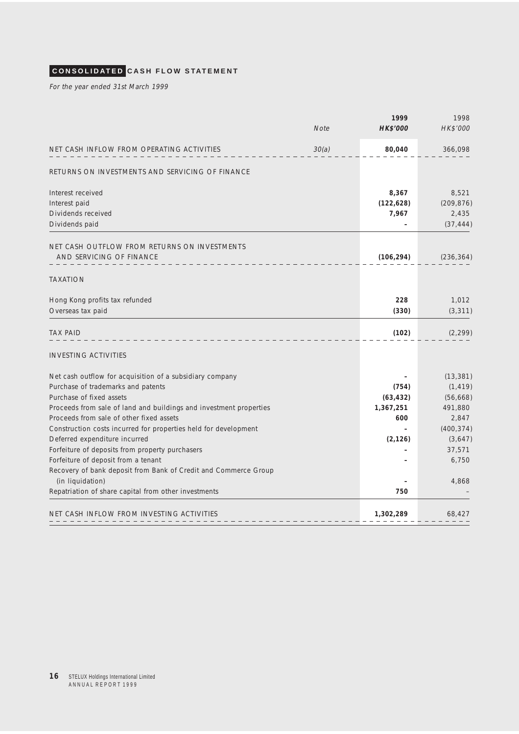# <span id="page-15-0"></span>**CONSOLIDATED CASH FLOW STATEMENT**

For the year ended 31st March 1999

|                                                                                        | <b>Note</b> | 1999<br><b>HK\$'000</b> | 1998<br>HK\$'000 |
|----------------------------------------------------------------------------------------|-------------|-------------------------|------------------|
| NET CASH INFLOW FROM OPERATING ACTIVITIES                                              | 30(a)       | 80,040                  | 366,098          |
| RETURNS ON INVESTMENTS AND SERVICING OF FINANCE                                        |             |                         |                  |
| Interest received                                                                      |             | 8,367                   | 8,521            |
| Interest paid                                                                          |             | (122, 628)              | (209, 876)       |
| Dividends received                                                                     |             | 7,967                   | 2,435            |
| Dividends paid                                                                         |             |                         | (37, 444)        |
| NET CASH OUTFLOW FROM RETURNS ON INVESTMENTS                                           |             |                         |                  |
| AND SERVICING OF FINANCE                                                               |             | (106, 294)              | (236, 364)       |
| <b>TAXATION</b>                                                                        |             |                         |                  |
| Hong Kong profits tax refunded                                                         |             | 228                     | 1,012            |
| Overseas tax paid                                                                      |             | (330)                   | (3, 311)         |
| TAX PAID                                                                               |             | (102)                   | (2, 299)         |
| <b>INVESTING ACTIVITIES</b>                                                            |             |                         |                  |
| Net cash outflow for acquisition of a subsidiary company                               |             |                         | (13, 381)        |
| Purchase of trademarks and patents                                                     |             | (754)                   | (1, 419)         |
| Purchase of fixed assets                                                               |             | (63, 432)               | (56, 668)        |
| Proceeds from sale of land and buildings and investment properties                     |             | 1,367,251               | 491,880          |
| Proceeds from sale of other fixed assets                                               |             | 600                     | 2,847            |
| Construction costs incurred for properties held for development                        |             |                         | (400, 374)       |
| Deferred expenditure incurred                                                          |             | (2, 126)                | (3,647)          |
| Forfeiture of deposits from property purchasers<br>Forfeiture of deposit from a tenant |             |                         | 37,571           |
| Recovery of bank deposit from Bank of Credit and Commerce Group                        |             |                         | 6,750            |
| (in liquidation)                                                                       |             |                         | 4,868            |
| Repatriation of share capital from other investments                                   |             | 750                     |                  |
| NET CASH INFLOW FROM INVESTING ACTIVITIES                                              |             | 1,302,289               | 68,427           |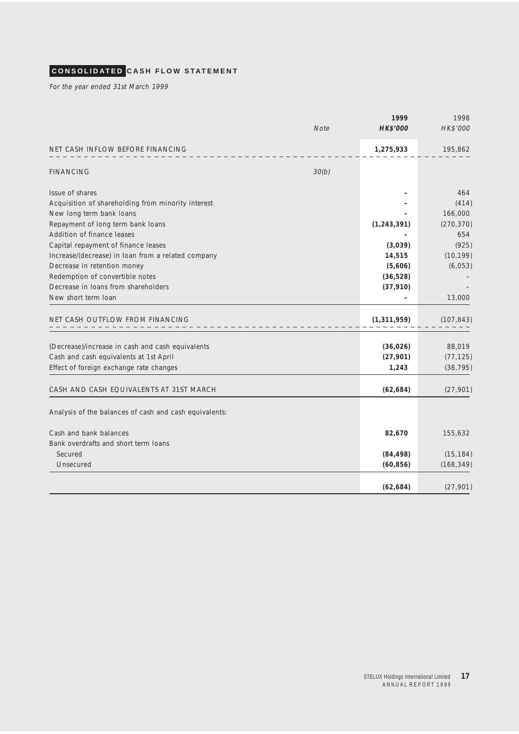# **CONSOLIDATED CASH FLOW STATEMENT**

For the year ended 31st March 1999

|                                                        | <b>Note</b> | 1999<br>HK\$'000 | 1998<br>HK\$'000 |
|--------------------------------------------------------|-------------|------------------|------------------|
| NET CASH INFLOW BEFORE FINANCING                       |             | 1,275,933        | 195,862          |
| <b>FINANCING</b>                                       | 30(b)       |                  |                  |
| Issue of shares                                        |             |                  | 464              |
| Acquisition of shareholding from minority interest     |             |                  | (414)            |
| New long term bank loans                               |             |                  | 166,000          |
| Repayment of long term bank loans                      |             | (1, 243, 391)    | (270, 370)       |
| Addition of finance leases                             |             |                  | 654              |
| Capital repayment of finance leases                    |             | (3,039)          | (925)            |
| Increase/(decrease) in loan from a related company     |             | 14,515           | (10, 199)        |
| Decrease in retention money                            |             | (5,606)          | (6,053)          |
| Redemption of convertible notes                        |             | (36, 528)        |                  |
| Decrease in loans from shareholders                    |             | (37, 910)        |                  |
| New short term Ioan                                    |             |                  | 13,000           |
| NET CASH OUTFLOW FROM FINANCING                        |             | (1, 311, 959)    | (107, 843)       |
|                                                        |             |                  |                  |
| (Decrease)/increase in cash and cash equivalents       |             | (36, 026)        | 88,019           |
| Cash and cash equivalents at 1st April                 |             | (27, 901)        | (77, 125)        |
| Effect of foreign exchange rate changes                |             | 1,243            | (38, 795)        |
| CASH AND CASH EQUIVALENTS AT 31ST MARCH                |             | (62, 684)        | (27,901)         |
| Analysis of the balances of cash and cash equivalents: |             |                  |                  |
| Cash and bank balances                                 |             | 82,670           | 155,632          |
| Bank overdrafts and short term Joans                   |             |                  |                  |
| Secured                                                |             | (84, 498)        | (15, 184)        |
| Unsecured                                              |             | (60, 856)        | (168, 349)       |
|                                                        |             | (62, 684)        | (27, 901)        |
|                                                        |             |                  |                  |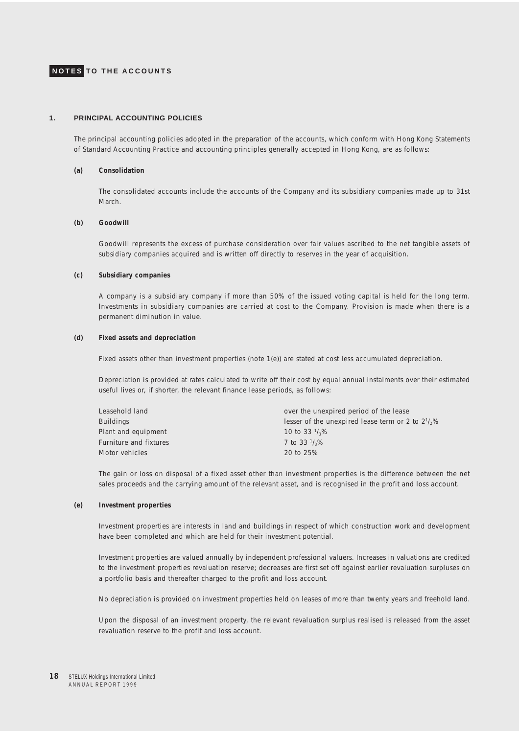### <span id="page-17-0"></span>**1. PRINCIPAL ACCOUNTING POLICIES**

The principal accounting policies adopted in the preparation of the accounts, which conform with Hong Kong Statements of Standard Accounting Practice and accounting principles generally accepted in Hong Kong, are as follows:

#### **(a) Consolidation**

The consolidated accounts include the accounts of the Company and its subsidiary companies made up to 31st March.

### **(b) Goodwill**

Goodwill represents the excess of purchase consideration over fair values ascribed to the net tangible assets of subsidiary companies acquired and is written off directly to reserves in the year of acquisition.

#### **(c) Subsidiary companies**

A company is a subsidiary company if more than 50% of the issued voting capital is held for the long term. Investments in subsidiary companies are carried at cost to the Company. Provision is made when there is a permanent diminution in value.

#### **(d) Fixed assets and depreciation**

Fixed assets other than investment properties (note 1(e)) are stated at cost less accumulated depreciation.

Depreciation is provided at rates calculated to write off their cost by equal annual instalments over their estimated useful lives or, if shorter, the relevant finance lease periods, as follows:

| Leasehold land         | over the unexpired period of the lease                      |
|------------------------|-------------------------------------------------------------|
| Buildings              | lesser of the unexpired lease term or 2 to $2\frac{1}{2}\%$ |
| Plant and equipment    | 10 to 33 $\frac{1}{3}\%$                                    |
| Furniture and fixtures | 7 to 33 $\frac{1}{3}$ %                                     |
| Motor vehicles         | 20 to 25%                                                   |

The gain or loss on disposal of a fixed asset other than investment properties is the difference between the net sales proceeds and the carrying amount of the relevant asset, and is recognised in the profit and loss account.

#### **(e) Investment properties**

Investment properties are interests in land and buildings in respect of which construction work and development have been completed and which are held for their investment potential.

Investment properties are valued annually by independent professional valuers. Increases in valuations are credited to the investment properties revaluation reserve; decreases are first set off against earlier revaluation surpluses on a portfolio basis and thereafter charged to the profit and loss account.

No depreciation is provided on investment properties held on leases of more than twenty years and freehold land.

Upon the disposal of an investment property, the relevant revaluation surplus realised is released from the asset revaluation reserve to the profit and loss account.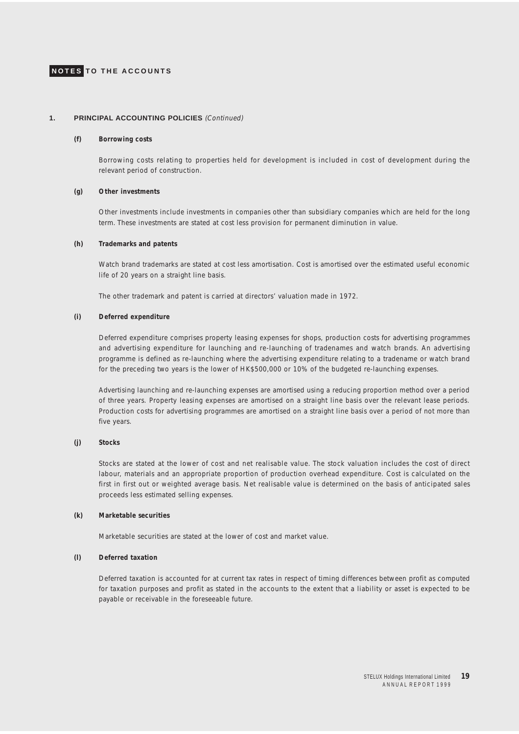

### **1. PRINCIPAL ACCOUNTING POLICIES** (Continued)

#### **(f) Borrowing costs**

Borrowing costs relating to properties held for development is included in cost of development during the relevant period of construction.

#### **(g) Other investments**

Other investments include investments in companies other than subsidiary companies which are held for the long term. These investments are stated at cost less provision for permanent diminution in value.

#### **(h) Trademarks and patents**

Watch brand trademarks are stated at cost less amortisation. Cost is amortised over the estimated useful economic life of 20 years on a straight line basis.

The other trademark and patent is carried at directors' valuation made in 1972.

#### **(i) Deferred expenditure**

Deferred expenditure comprises property leasing expenses for shops, production costs for advertising programmes and advertising expenditure for launching and re-launching of tradenames and watch brands. An advertising programme is defined as re-launching where the advertising expenditure relating to a tradename or watch brand for the preceding two years is the lower of HK\$500,000 or 10% of the budgeted re-launching expenses.

Advertising launching and re-launching expenses are amortised using a reducing proportion method over a period of three years. Property leasing expenses are amortised on a straight line basis over the relevant lease periods. Production costs for advertising programmes are amortised on a straight line basis over a period of not more than five years.

#### **(j) Stocks**

Stocks are stated at the lower of cost and net realisable value. The stock valuation includes the cost of direct labour, materials and an appropriate proportion of production overhead expenditure. Cost is calculated on the first in first out or weighted average basis. Net realisable value is determined on the basis of anticipated sales proceeds less estimated selling expenses.

#### **(k) Marketable securities**

Marketable securities are stated at the lower of cost and market value.

#### **(l) Deferred taxation**

Deferred taxation is accounted for at current tax rates in respect of timing differences between profit as computed for taxation purposes and profit as stated in the accounts to the extent that a liability or asset is expected to be payable or receivable in the foreseeable future.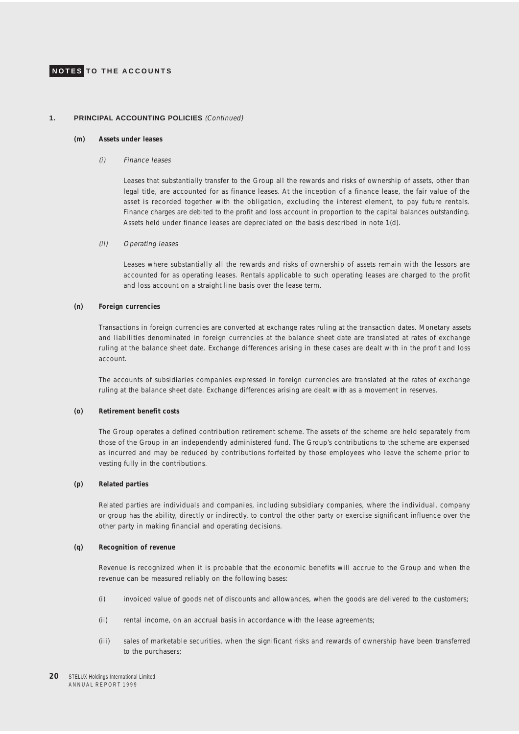#### **1. PRINCIPAL ACCOUNTING POLICIES** (Continued)

#### **(m) Assets under leases**

### (i) Finance leases

Leases that substantially transfer to the Group all the rewards and risks of ownership of assets, other than legal title, are accounted for as finance leases. At the inception of a finance lease, the fair value of the asset is recorded together with the obligation, excluding the interest element, to pay future rentals. Finance charges are debited to the profit and loss account in proportion to the capital balances outstanding. Assets held under finance leases are depreciated on the basis described in note 1(d).

#### (ii) Operating leases

Leases where substantially all the rewards and risks of ownership of assets remain with the lessors are accounted for as operating leases. Rentals applicable to such operating leases are charged to the profit and loss account on a straight line basis over the lease term.

### **(n) Foreign currencies**

Transactions in foreign currencies are converted at exchange rates ruling at the transaction dates. Monetary assets and liabilities denominated in foreign currencies at the balance sheet date are translated at rates of exchange ruling at the balance sheet date. Exchange differences arising in these cases are dealt with in the profit and loss account.

The accounts of subsidiaries companies expressed in foreign currencies are translated at the rates of exchange ruling at the balance sheet date. Exchange differences arising are dealt with as a movement in reserves.

### **(o) Retirement benefit costs**

The Group operates a defined contribution retirement scheme. The assets of the scheme are held separately from those of the Group in an independently administered fund. The Group's contributions to the scheme are expensed as incurred and may be reduced by contributions forfeited by those employees who leave the scheme prior to vesting fully in the contributions.

#### **(p) Related parties**

Related parties are individuals and companies, including subsidiary companies, where the individual, company or group has the ability, directly or indirectly, to control the other party or exercise significant influence over the other party in making financial and operating decisions.

#### **(q) Recognition of revenue**

Revenue is recognized when it is probable that the economic benefits will accrue to the Group and when the revenue can be measured reliably on the following bases:

- (i) invoiced value of goods net of discounts and allowances, when the goods are delivered to the customers;
- (ii) rental income, on an accrual basis in accordance with the lease agreements;
- (iii) sales of marketable securities, when the significant risks and rewards of ownership have been transferred to the purchasers;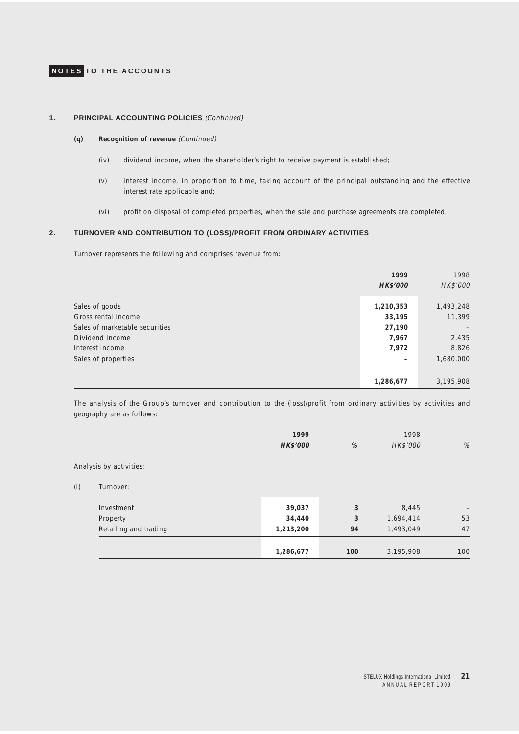### **1. PRINCIPAL ACCOUNTING POLICIES** (Continued)

### **(q) Recognition of revenue** (Continued)

- (iv) dividend income, when the shareholder's right to receive payment is established;
- (v) interest income, in proportion to time, taking account of the principal outstanding and the effective interest rate applicable and;
- (vi) profit on disposal of completed properties, when the sale and purchase agreements are completed.

### **2. TURNOVER AND CONTRIBUTION TO (LOSS)/PROFIT FROM ORDINARY ACTIVITIES**

Turnover represents the following and comprises revenue from:

|                                | 1999<br>HK\$'000 | 1998<br>HK\$'000 |
|--------------------------------|------------------|------------------|
| Sales of goods                 | 1,210,353        | 1,493,248        |
| Gross rental income            | 33,195           | 11,399           |
| Sales of marketable securities | 27,190           |                  |
| Dividend income                | 7,967            | 2,435            |
| Interest income                | 7,972            | 8,826            |
| Sales of properties            | -                | 1,680,000        |
|                                |                  |                  |
|                                | 1,286,677        | 3,195,908        |

The analysis of the Group's turnover and contribution to the (loss)/profit from ordinary activities by activities and geography are as follows:

|     |                         | 1999      |     | 1998      |                   |
|-----|-------------------------|-----------|-----|-----------|-------------------|
|     |                         | HK\$'000  | %   | HK\$'000  | %                 |
|     | Analysis by activities: |           |     |           |                   |
| (i) | Turnover:               |           |     |           |                   |
|     | Investment              | 39,037    | 3   | 8,445     | $\qquad \qquad -$ |
|     | Property                | 34,440    | 3   | 1,694,414 | 53                |
|     | Retailing and trading   | 1,213,200 | 94  | 1,493,049 | 47                |
|     |                         |           |     |           | 100               |
|     |                         | 1,286,677 | 100 | 3,195,908 |                   |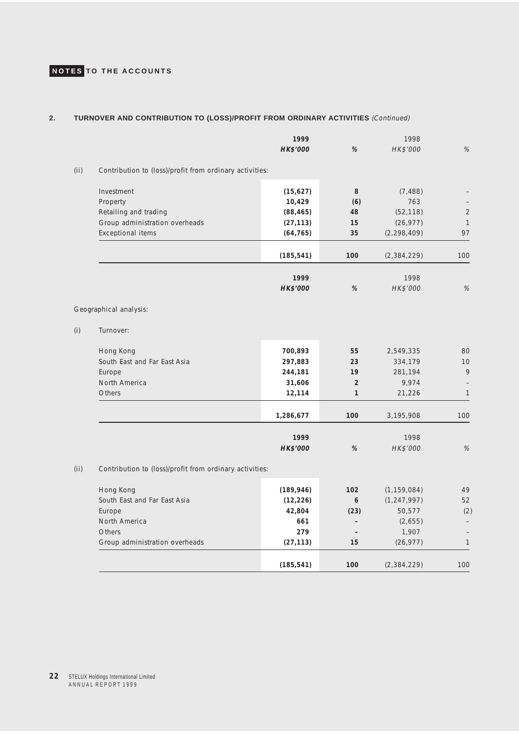### **2. TURNOVER AND CONTRIBUTION TO (LOSS)/PROFIT FROM ORDINARY ACTIVITIES** (Continued)

|     |                                                         | 1999            |                          | 1998          |                          |
|-----|---------------------------------------------------------|-----------------|--------------------------|---------------|--------------------------|
|     |                                                         | HK\$'000        | %                        | HK\$'000      | %                        |
| (i) | Contribution to (loss)/profit from ordinary activities: |                 |                          |               |                          |
|     | Investment                                              | (15, 627)       | 8                        | (7, 488)      |                          |
|     | Property                                                | 10,429          | (6)                      | 763           |                          |
|     | Retailing and trading                                   | (88, 465)       | 48                       | (52, 118)     | $\overline{2}$           |
|     | Group administration overheads                          | (27, 113)       | 15                       | (26, 977)     | $\mathbf{1}$             |
|     | <b>Exceptional items</b>                                | (64, 765)       | 35                       | (2, 298, 409) | 97                       |
|     |                                                         | (185, 541)      | 100                      | (2,384,229)   | 100                      |
|     |                                                         | 1999            |                          | 1998          |                          |
|     |                                                         | <b>HK\$'000</b> | %                        | HK\$'000      | %                        |
|     | Geographical analysis:                                  |                 |                          |               |                          |
| (i) | Turnover:                                               |                 |                          |               |                          |
|     | Hong Kong                                               | 700,893         | 55                       | 2,549,335     | 80                       |
|     | South East and Far East Asia                            | 297,883         | 23                       | 334,179       | 10                       |
|     | Europe                                                  | 244,181         | 19                       | 281,194       | 9                        |
|     | North America                                           | 31,606          | $\overline{2}$           | 9,974         | $\overline{\phantom{0}}$ |
|     | Others                                                  | 12,114          | $\mathbf{1}$             | 21,226        | $\mathbf{1}$             |
|     |                                                         | 1,286,677       | 100                      | 3,195,908     | 100                      |
|     |                                                         | 1999            |                          | 1998          |                          |
|     |                                                         | HK\$'000        | %                        | HK\$'000      | $\%$                     |
| (i) | Contribution to (loss)/profit from ordinary activities: |                 |                          |               |                          |
|     | Hong Kong                                               | (189, 946)      | 102                      | (1, 159, 084) | 49                       |
|     | South East and Far East Asia                            | (12, 226)       | 6                        | (1, 247, 997) | 52                       |
|     | Europe                                                  | 42,804          | (23)                     | 50,577        | (2)                      |
|     | North America                                           | 661             | $\overline{\phantom{a}}$ | (2,655)       | $\overline{\phantom{0}}$ |
|     | Others                                                  | 279             | $\overline{\phantom{a}}$ | 1,907         | $\overline{\phantom{0}}$ |
|     | Group administration overheads                          | (27, 113)       | 15                       | (26, 977)     | $\mathbf{1}$             |
|     |                                                         | (185, 541)      | 100                      | (2,384,229)   | 100                      |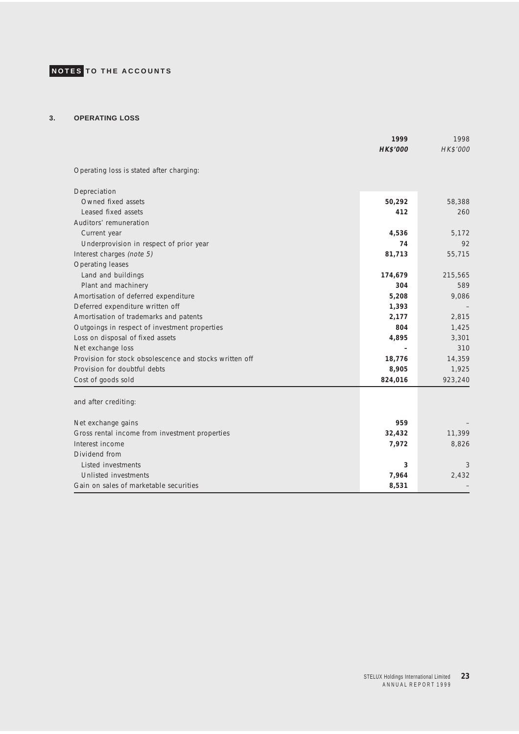### **3. OPERATING LOSS**

|                                                         | 1999            | 1998     |
|---------------------------------------------------------|-----------------|----------|
|                                                         | <b>HK\$'000</b> | HK\$'000 |
| Operating loss is stated after charging:                |                 |          |
| Depreciation                                            |                 |          |
| Owned fixed assets                                      | 50,292          | 58,388   |
| Leased fixed assets                                     | 412             | 260      |
| Auditors' remuneration                                  |                 |          |
| Current year                                            | 4,536           | 5,172    |
| Underprovision in respect of prior year                 | 74              | 92       |
| Interest charges (note 5)                               | 81,713          | 55,715   |
| Operating leases                                        |                 |          |
| Land and buildings                                      | 174,679         | 215,565  |
| Plant and machinery                                     | 304             | 589      |
| Amortisation of deferred expenditure                    | 5,208           | 9,086    |
| Deferred expenditure written off                        | 1,393           |          |
| Amortisation of trademarks and patents                  | 2,177           | 2,815    |
| Outgoings in respect of investment properties           | 804             | 1,425    |
| Loss on disposal of fixed assets                        | 4,895           | 3,301    |
| Net exchange loss                                       |                 | 310      |
| Provision for stock obsolescence and stocks written off | 18,776          | 14,359   |
| Provision for doubtful debts                            | 8,905           | 1,925    |
| Cost of goods sold                                      | 824,016         | 923,240  |
| and after crediting:                                    |                 |          |
| Net exchange gains                                      | 959             |          |
| Gross rental income from investment properties          | 32,432          | 11,399   |
| Interest income                                         | 7,972           | 8,826    |
| Dividend from                                           |                 |          |
| Listed investments                                      | 3               | 3        |
| Unlisted investments                                    | 7,964           | 2,432    |
| Gain on sales of marketable securities                  | 8,531           |          |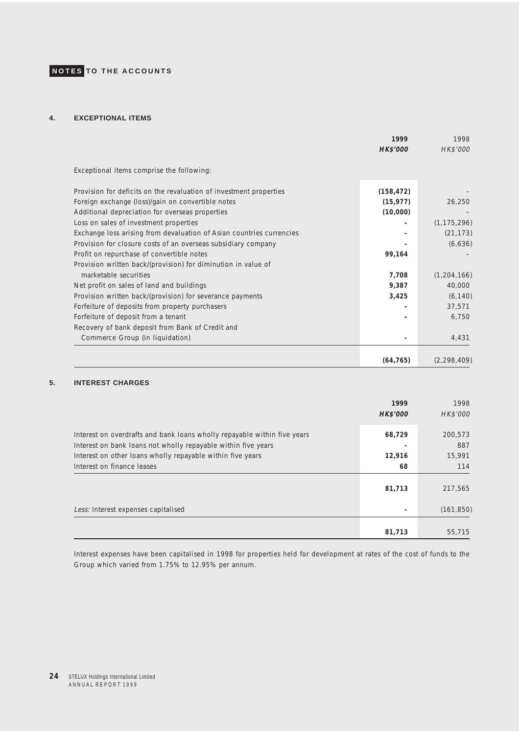### **4. EXCEPTIONAL ITEMS**

|                                                                      | 1999            | 1998          |
|----------------------------------------------------------------------|-----------------|---------------|
|                                                                      | <b>HK\$'000</b> | HK\$'000      |
| Exceptional items comprise the following:                            |                 |               |
| Provision for deficits on the revaluation of investment properties   | (158, 472)      |               |
| Foreign exchange (loss)/gain on convertible notes                    | (15, 977)       | 26,250        |
| Additional depreciation for overseas properties                      | (10,000)        |               |
| Loss on sales of investment properties                               |                 | (1, 175, 296) |
| Exchange loss arising from devaluation of Asian countries currencies |                 | (21, 173)     |
| Provision for closure costs of an overseas subsidiary company        |                 | (6,636)       |
| Profit on repurchase of convertible notes                            | 99,164          |               |
| Provision written back/(provision) for diminution in value of        |                 |               |
| marketable securities                                                | 7,708           | (1, 204, 166) |
| Net profit on sales of land and buildings                            | 9,387           | 40,000        |
| Provision written back/(provision) for severance payments            | 3,425           | (6, 140)      |
| Forfeiture of deposits from property purchasers                      |                 | 37,571        |
| Forfeiture of deposit from a tenant                                  |                 | 6.750         |
| Recovery of bank deposit from Bank of Credit and                     |                 |               |
| Commerce Group (in liquidation)                                      |                 | 4,431         |
|                                                                      | (64, 765)       | (2, 298, 409) |

### **5. INTEREST CHARGES**

|                                                                                                                                           | 1999<br><b>HK\$'000</b> | 1998<br>HK\$'000 |
|-------------------------------------------------------------------------------------------------------------------------------------------|-------------------------|------------------|
| Interest on overdrafts and bank loans wholly repayable within five years<br>Interest on bank loans not wholly repayable within five years | 68,729                  | 200,573<br>887   |
| Interest on other loans wholly repayable within five years                                                                                | 12,916                  | 15,991           |
| Interest on finance leases                                                                                                                | 68                      | 114              |
|                                                                                                                                           | 81,713                  | 217,565          |
| Less: Interest expenses capitalised                                                                                                       |                         | (161, 850)       |
|                                                                                                                                           |                         |                  |
|                                                                                                                                           | 81,713                  | 55,715           |

Interest expenses have been capitalised in 1998 for properties held for development at rates of the cost of funds to the Group which varied from 1.75% to 12.95% per annum.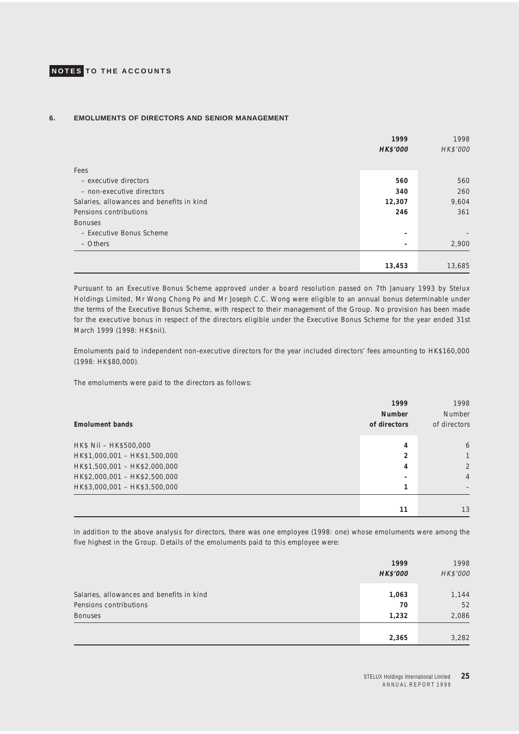### **6. EMOLUMENTS OF DIRECTORS AND SENIOR MANAGEMENT**

|                                           | 1999            | 1998     |
|-------------------------------------------|-----------------|----------|
|                                           | <b>HK\$'000</b> | HK\$'000 |
| Fees                                      |                 |          |
| - executive directors                     | 560             | 560      |
| - non-executive directors                 | 340             | 260      |
| Salaries, allowances and benefits in kind | 12,307          | 9,604    |
| Pensions contributions                    | 246             | 361      |
| <b>Bonuses</b>                            |                 |          |
| - Executive Bonus Scheme                  |                 |          |
| - Others                                  |                 | 2,900    |
|                                           |                 |          |
|                                           | 13,453          | 13,685   |

Pursuant to an Executive Bonus Scheme approved under a board resolution passed on 7th January 1993 by Stelux Holdings Limited, Mr Wong Chong Po and Mr Joseph C.C. Wong were eligible to an annual bonus determinable under the terms of the Executive Bonus Scheme, with respect to their management of the Group. No provision has been made for the executive bonus in respect of the directors eligible under the Executive Bonus Scheme for the year ended 31st March 1999 (1998: HK\$nil).

Emoluments paid to independent non-executive directors for the year included directors' fees amounting to HK\$160,000 (1998: HK\$80,000).

The emoluments were paid to the directors as follows:

| <b>Emolument bands</b>        | 1999<br><b>Number</b><br>of directors | 1998<br>Number<br>of directors |
|-------------------------------|---------------------------------------|--------------------------------|
| HK\$ Nil - HK\$500,000        | 4                                     | 6                              |
| HK\$1,000,001 - HK\$1,500,000 | 2                                     | 1                              |
| HK\$1,500,001 - HK\$2,000,000 | 4                                     | $\overline{2}$                 |
| HK\$2,000,001 - HK\$2,500,000 |                                       | $\overline{4}$                 |
| HK\$3,000,001 - HK\$3,500,000 |                                       |                                |
|                               |                                       |                                |
|                               | 11                                    | 13                             |

In addition to the above analysis for directors, there was one employee (1998: one) whose emoluments were among the five highest in the Group. Details of the emoluments paid to this employee were:

|                                                                     | 1999<br><b>HK\$'000</b> | 1998<br>HK\$'000 |
|---------------------------------------------------------------------|-------------------------|------------------|
| Salaries, allowances and benefits in kind<br>Pensions contributions | 1,063<br>70             | 1,144<br>52      |
| <b>Bonuses</b>                                                      | 1,232                   | 2,086            |
|                                                                     | 2,365                   | 3,282            |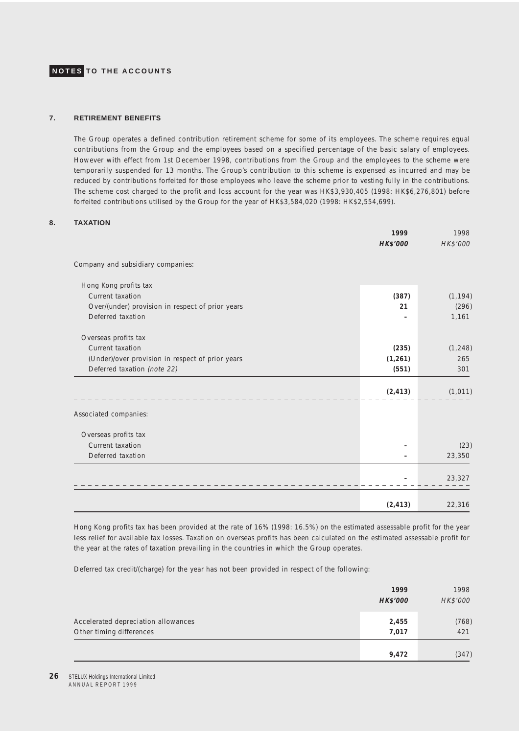### **7. RETIREMENT BENEFITS**

The Group operates a defined contribution retirement scheme for some of its employees. The scheme requires equal contributions from the Group and the employees based on a specified percentage of the basic salary of employees. However with effect from 1st December 1998, contributions from the Group and the employees to the scheme were temporarily suspended for 13 months. The Group's contribution to this scheme is expensed as incurred and may be reduced by contributions forfeited for those employees who leave the scheme prior to vesting fully in the contributions. The scheme cost charged to the profit and loss account for the year was HK\$3,930,405 (1998: HK\$6,276,801) before forfeited contributions utilised by the Group for the year of HK\$3,584,020 (1998: HK\$2,554,699).

#### **8. TAXATION**

|                                                  | 1999            | 1998     |
|--------------------------------------------------|-----------------|----------|
|                                                  | <b>HK\$'000</b> | HK\$'000 |
| Company and subsidiary companies:                |                 |          |
| Hong Kong profits tax                            |                 |          |
| Current taxation                                 | (387)           | (1, 194) |
| Over/(under) provision in respect of prior years | 21              | (296)    |
| Deferred taxation                                |                 | 1,161    |
| Overseas profits tax                             |                 |          |
| Current taxation                                 | (235)           | (1, 248) |
| (Under)/over provision in respect of prior years | (1, 261)        | 265      |
| Deferred taxation (note 22)                      | (551)           | 301      |
|                                                  | (2, 413)        | (1, 011) |
| Associated companies:                            |                 |          |
| Overseas profits tax                             |                 |          |
| Current taxation                                 |                 | (23)     |
| Deferred taxation                                |                 | 23,350   |
|                                                  |                 | 23,327   |
|                                                  | (2, 413)        | 22,316   |

Hong Kong profits tax has been provided at the rate of 16% (1998: 16.5%) on the estimated assessable profit for the year less relief for available tax losses. Taxation on overseas profits has been calculated on the estimated assessable profit for the year at the rates of taxation prevailing in the countries in which the Group operates.

Deferred tax credit/(charge) for the year has not been provided in respect of the following:

|                                                                 | 1999<br><b>HK\$'000</b> | 1998<br>HK\$'000 |
|-----------------------------------------------------------------|-------------------------|------------------|
| Accelerated depreciation allowances<br>Other timing differences | 2,455<br>7,017          | (768)<br>421     |
|                                                                 | 9,472                   | (347)            |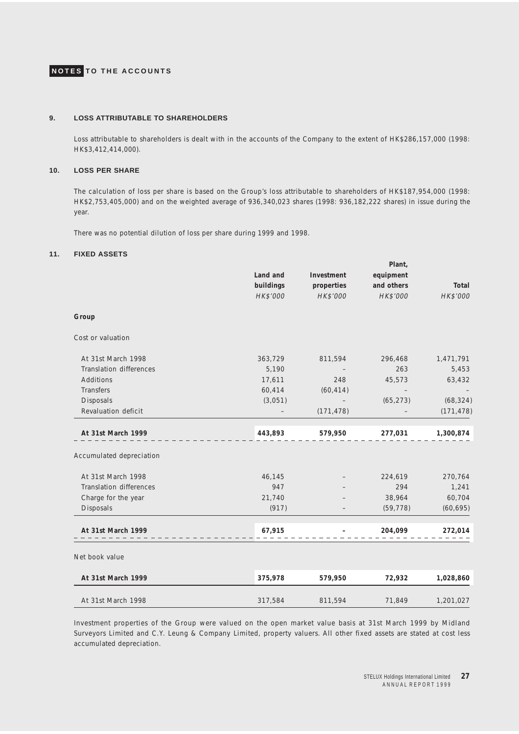### **9. LOSS ATTRIBUTABLE TO SHAREHOLDERS**

Loss attributable to shareholders is dealt with in the accounts of the Company to the extent of HK\$286,157,000 (1998: HK\$3,412,414,000).

#### **10. LOSS PER SHARE**

The calculation of loss per share is based on the Group's loss attributable to shareholders of HK\$187,954,000 (1998: HK\$2,753,405,000) and on the weighted average of 936,340,023 shares (1998: 936,182,222 shares) in issue during the year.

There was no potential dilution of loss per share during 1999 and 1998.

### **11. FIXED ASSETS**

|                          |           |            | Plant,     |            |
|--------------------------|-----------|------------|------------|------------|
|                          | Land and  | Investment | equipment  |            |
|                          | buildings | properties | and others | Total      |
|                          | HK\$'000  | HK\$'000   | HK\$'000   | HK\$'000   |
| Group                    |           |            |            |            |
| Cost or valuation        |           |            |            |            |
| At 31st March 1998       | 363,729   | 811,594    | 296,468    | 1,471,791  |
| Translation differences  | 5,190     |            | 263        | 5,453      |
| Additions                | 17,611    | 248        | 45,573     | 63,432     |
| Transfers                | 60,414    | (60, 414)  |            |            |
| Disposals                | (3,051)   |            | (65, 273)  | (68, 324)  |
| Revaluation deficit      |           | (171, 478) |            | (171, 478) |
| At 31st March 1999       | 443,893   | 579,950    | 277,031    | 1,300,874  |
| Accumulated depreciation |           |            |            |            |
| At 31st March 1998       | 46,145    |            | 224,619    | 270,764    |
| Translation differences  | 947       |            | 294        | 1,241      |
| Charge for the year      | 21,740    |            | 38,964     | 60,704     |
| Disposals                | (917)     |            | (59, 778)  | (60, 695)  |
| At 31st March 1999       | 67,915    |            | 204,099    | 272,014    |
| Net book value           |           |            |            |            |
| At 31st March 1999       | 375,978   | 579,950    | 72,932     | 1,028,860  |
| At 31st March 1998       | 317,584   | 811,594    | 71,849     | 1,201,027  |

Investment properties of the Group were valued on the open market value basis at 31st March 1999 by Midland Surveyors Limited and C.Y. Leung & Company Limited, property valuers. All other fixed assets are stated at cost less accumulated depreciation.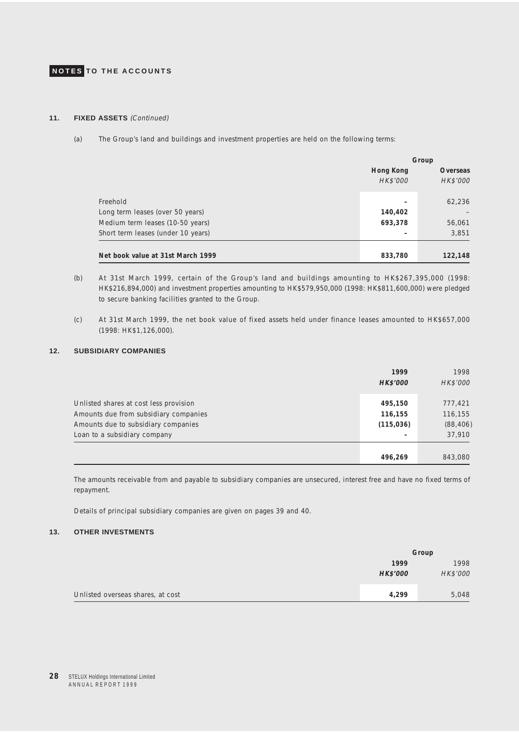### **11. FIXED ASSETS** (Continued)

(a) The Group's land and buildings and investment properties are held on the following terms:

|                                    | Group     |                 |
|------------------------------------|-----------|-----------------|
|                                    | Hong Kong | <b>Overseas</b> |
|                                    | HK\$'000  | HK\$'000        |
| Freehold                           |           | 62,236          |
| Long term leases (over 50 years)   | 140,402   |                 |
| Medium term leases (10-50 years)   | 693,378   | 56,061          |
| Short term leases (under 10 years) |           | 3,851           |
|                                    |           |                 |
| Net book value at 31st March 1999  | 833,780   | 122,148         |

- (b) At 31st March 1999, certain of the Group's land and buildings amounting to HK\$267,395,000 (1998: HK\$216,894,000) and investment properties amounting to HK\$579,950,000 (1998: HK\$811,600,000) were pledged to secure banking facilities granted to the Group.
- (c) At 31st March 1999, the net book value of fixed assets held under finance leases amounted to HK\$657,000 (1998: HK\$1,126,000).

### **12. SUBSIDIARY COMPANIES**

|                                        | 1999            | 1998      |
|----------------------------------------|-----------------|-----------|
|                                        | <b>HK\$'000</b> | HK\$'000  |
| Unlisted shares at cost less provision | 495,150         | 777,421   |
| Amounts due from subsidiary companies  | 116,155         | 116,155   |
| Amounts due to subsidiary companies    | (115, 036)      | (88, 406) |
| Loan to a subsidiary company           |                 | 37,910    |
|                                        |                 |           |
|                                        | 496,269         | 843,080   |

The amounts receivable from and payable to subsidiary companies are unsecured, interest free and have no fixed terms of repayment.

Details of principal subsidiary companies are given on pages 39 and 40.

### **13. OTHER INVESTMENTS**

|                                   | Group           |          |
|-----------------------------------|-----------------|----------|
|                                   | 1999            | 1998     |
|                                   | <b>HK\$'000</b> | HK\$'000 |
| Unlisted overseas shares, at cost | 4,299           | 5,048    |
|                                   |                 |          |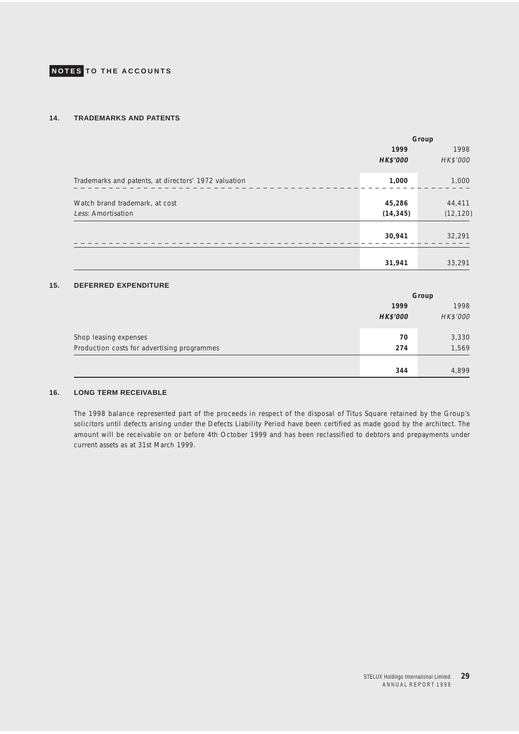### **14. TRADEMARKS AND PATENTS**

|                                                      | Group               |                     |
|------------------------------------------------------|---------------------|---------------------|
|                                                      | 1999                | 1998                |
|                                                      | <b>HK\$'000</b>     | HK\$'000            |
| Trademarks and patents, at directors' 1972 valuation | 1,000               | 1,000               |
| Watch brand trademark, at cost<br>Less: Amortisation | 45,286<br>(14, 345) | 44,411<br>(12, 120) |
|                                                      | 30,941              | 32,291              |
|                                                      | 31,941              | 33,291              |

### **15. DEFERRED EXPENDITURE**

|                                             | Group           |          |
|---------------------------------------------|-----------------|----------|
|                                             | 1999            | 1998     |
|                                             | <b>HK\$'000</b> | HK\$'000 |
| Shop leasing expenses                       | 70              | 3,330    |
| Production costs for advertising programmes | 274             | 1,569    |
|                                             |                 |          |
|                                             | 344             | 4,899    |

### **16. LONG TERM RECEIVABLE**

The 1998 balance represented part of the proceeds in respect of the disposal of Titus Square retained by the Group's solicitors until defects arising under the Defects Liability Period have been certified as made good by the architect. The amount will be receivable on or before 4th October 1999 and has been reclassified to debtors and prepayments under current assets as at 31st March 1999.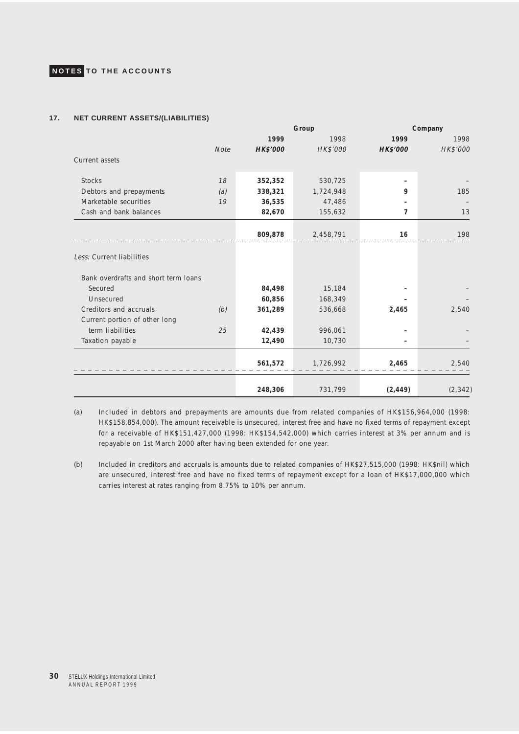### **17. NET CURRENT ASSETS/(LIABILITIES)**

|                                      |             | Group           |           |                 | Company  |
|--------------------------------------|-------------|-----------------|-----------|-----------------|----------|
|                                      |             | 1999            | 1998      | 1999            | 1998     |
|                                      | <b>Note</b> | <b>HK\$'000</b> | HK\$'000  | <b>HK\$'000</b> | HK\$'000 |
| Current assets                       |             |                 |           |                 |          |
|                                      |             |                 |           |                 |          |
| <b>Stocks</b>                        | 18          | 352,352         | 530,725   |                 |          |
| Debtors and prepayments              | (a)         | 338,321         | 1,724,948 | 9               | 185      |
| Marketable securities                | 19          | 36,535          | 47,486    |                 |          |
| Cash and bank balances               |             | 82,670          | 155,632   | 7               | 13       |
|                                      |             |                 |           |                 |          |
|                                      |             | 809,878         | 2,458,791 | 16              | 198      |
|                                      |             |                 |           |                 |          |
| Less: Current liabilities            |             |                 |           |                 |          |
| Bank overdrafts and short term loans |             |                 |           |                 |          |
| Secured                              |             | 84,498          | 15,184    |                 |          |
| Unsecured                            |             | 60,856          | 168,349   |                 |          |
| Creditors and accruals               | (b)         | 361,289         | 536,668   | 2,465           | 2,540    |
| Current portion of other long        |             |                 |           |                 |          |
| term liabilities                     | 25          | 42,439          | 996,061   |                 |          |
| Taxation payable                     |             | 12,490          | 10,730    |                 |          |
|                                      |             |                 |           |                 |          |
|                                      |             | 561,572         | 1,726,992 | 2,465           | 2,540    |
|                                      |             |                 |           |                 |          |
|                                      |             |                 |           |                 |          |
|                                      |             | 248,306         | 731,799   | (2, 449)        | (2, 342) |

(a) Included in debtors and prepayments are amounts due from related companies of HK\$156,964,000 (1998: HK\$158,854,000). The amount receivable is unsecured, interest free and have no fixed terms of repayment except for a receivable of HK\$151,427,000 (1998: HK\$154,542,000) which carries interest at 3% per annum and is repayable on 1st March 2000 after having been extended for one year.

(b) Included in creditors and accruals is amounts due to related companies of HK\$27,515,000 (1998: HK\$nil) which are unsecured, interest free and have no fixed terms of repayment except for a loan of HK\$17,000,000 which carries interest at rates ranging from 8.75% to 10% per annum.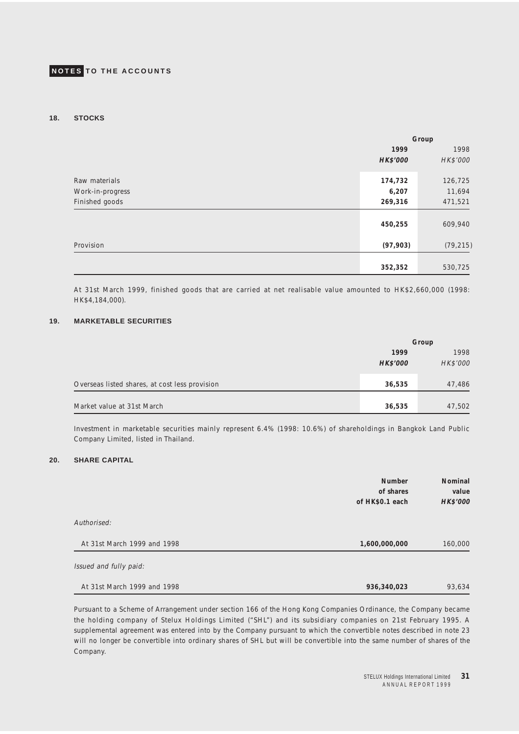### **18. STOCKS**

|                  | Group           |           |
|------------------|-----------------|-----------|
|                  | 1999            | 1998      |
|                  | <b>HK\$'000</b> | HK\$'000  |
| Raw materials    | 174,732         | 126,725   |
| Work-in-progress | 6,207           | 11,694    |
| Finished goods   | 269,316         | 471,521   |
|                  | 450,255         | 609,940   |
| Provision        | (97, 903)       | (79, 215) |
|                  |                 |           |
|                  | 352,352         | 530,725   |

At 31st March 1999, finished goods that are carried at net realisable value amounted to HK\$2,660,000 (1998: HK\$4,184,000).

### **19. MARKETABLE SECURITIES**

|                                                | Group           |          |
|------------------------------------------------|-----------------|----------|
|                                                | 1999            | 1998     |
|                                                | <b>HK\$'000</b> | HK\$'000 |
| Overseas listed shares, at cost less provision | 36,535          | 47,486   |
| Market value at 31st March                     | 36,535          | 47,502   |

Investment in marketable securities mainly represent 6.4% (1998: 10.6%) of shareholdings in Bangkok Land Public Company Limited, listed in Thailand.

### **20. SHARE CAPITAL**

|                             | <b>Number</b><br>of shares<br>of HK\$0.1 each | Nominal<br>value<br>HK\$'000 |
|-----------------------------|-----------------------------------------------|------------------------------|
| Authorised:                 |                                               |                              |
| At 31st March 1999 and 1998 | 1,600,000,000                                 | 160,000                      |
| Issued and fully paid:      |                                               |                              |
| At 31st March 1999 and 1998 | 936,340,023                                   | 93,634                       |

Pursuant to a Scheme of Arrangement under section 166 of the Hong Kong Companies Ordinance, the Company became the holding company of Stelux Holdings Limited ("SHL") and its subsidiary companies on 21st February 1995. A supplemental agreement was entered into by the Company pursuant to which the convertible notes described in note 23 will no longer be convertible into ordinary shares of SHL but will be convertible into the same number of shares of the Company.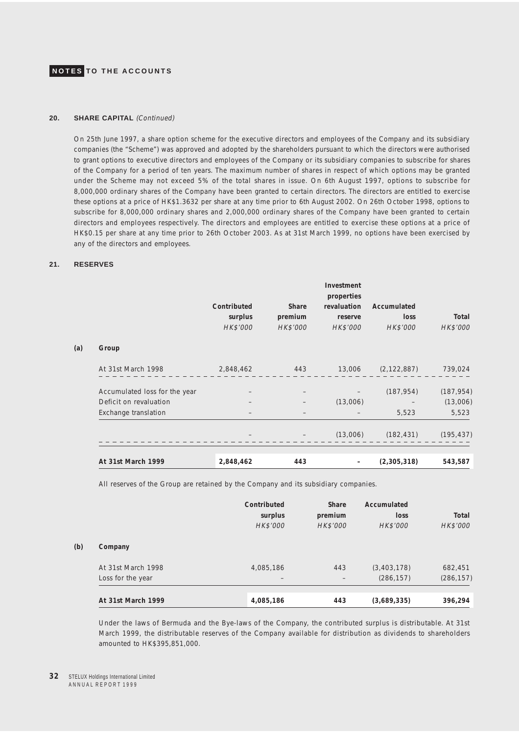#### 20. SHARE CAPITAL (Continued)

On 25th June 1997, a share option scheme for the executive directors and employees of the Company and its subsidiary companies (the "Scheme") was approved and adopted by the shareholders pursuant to which the directors were authorised to grant options to executive directors and employees of the Company or its subsidiary companies to subscribe for shares of the Company for a period of ten years. The maximum number of shares in respect of which options may be granted under the Scheme may not exceed 5% of the total shares in issue. On 6th August 1997, options to subscribe for 8,000,000 ordinary shares of the Company have been granted to certain directors. The directors are entitled to exercise these options at a price of HK\$1.3632 per share at any time prior to 6th August 2002. On 26th October 1998, options to subscribe for 8,000,000 ordinary shares and 2,000,000 ordinary shares of the Company have been granted to certain directors and employees respectively. The directors and employees are entitled to exercise these options at a price of HK\$0.15 per share at any time prior to 26th October 2003. As at 31st March 1999, no options have been exercised by any of the directors and employees.

### **21. RESERVES**

(a)

**(b) Company**

|                               | Contributed<br>surplus<br>HK\$'000 | Share<br>premium<br>HK\$'000 | Investment<br>properties<br>revaluation<br>reserve<br>HK\$'000 | Accumulated<br>loss<br>HK\$'000 | Total<br>HK\$'000 |
|-------------------------------|------------------------------------|------------------------------|----------------------------------------------------------------|---------------------------------|-------------------|
| Group                         |                                    |                              |                                                                |                                 |                   |
| At 31st March 1998            | 2,848,462                          |                              |                                                                | $(2,122,887)$ $739,024$         |                   |
| Accumulated loss for the year |                                    |                              |                                                                | (187, 954)                      | (187, 954)        |
| Deficit on revaluation        |                                    |                              | (13,006)                                                       |                                 | (13,006)          |
| Exchange translation          |                                    |                              |                                                                | 5,523                           | 5,523             |
|                               |                                    |                              | (13,006)                                                       | (182, 431)                      | (195, 437)        |
| At 31st March 1999            | 2,848,462                          | 443                          |                                                                | (2,305,318)                     | 543,587           |

All reserves of the Group are retained by the Company and its subsidiary companies.

|                    | Contributed<br>surplus<br>HK\$'000 | Share<br>premium<br>HK\$'000 | Accumulated<br>loss<br>HK\$'000 | Total<br>HK\$'000 |
|--------------------|------------------------------------|------------------------------|---------------------------------|-------------------|
| Company            |                                    |                              |                                 |                   |
| At 31st March 1998 | 4,085,186                          | 443                          | (3,403,178)                     | 682,451           |
| Loss for the year  |                                    |                              | (286, 157)                      | (286, 157)        |
| At 31st March 1999 | 4,085,186                          | 443                          | (3,689,335)                     | 396,294           |

Under the laws of Bermuda and the Bye-laws of the Company, the contributed surplus is distributable. At 31st March 1999, the distributable reserves of the Company available for distribution as dividends to shareholders amounted to HK\$395,851,000.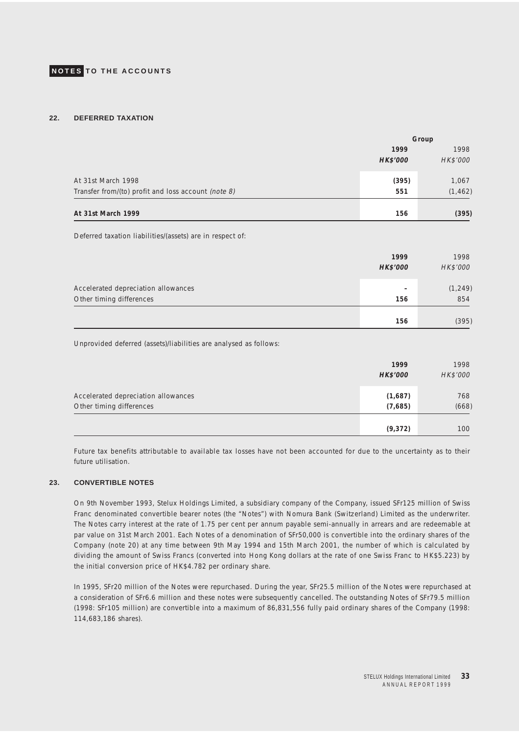### **22. DEFERRED TAXATION**

|                                                     |                 | Group    |
|-----------------------------------------------------|-----------------|----------|
|                                                     | 1999            | 1998     |
|                                                     | <b>HK\$'000</b> | HK\$'000 |
| At 31st March 1998                                  | (395)           | 1,067    |
| Transfer from/(to) profit and loss account (note 8) | 551             | (1, 462) |
| At 31st March 1999                                  | 156             | (395)    |

Deferred taxation liabilities/(assets) are in respect of:

|                                                                 | 1999<br><b>HK\$'000</b>         | 1998<br>HK\$'000 |
|-----------------------------------------------------------------|---------------------------------|------------------|
| Accelerated depreciation allowances<br>Other timing differences | $\overline{\phantom{0}}$<br>156 | (1, 249)<br>854  |
|                                                                 | 156                             | (395)            |

Unprovided deferred (assets)/liabilities are analysed as follows:

|                                     | 1999            | 1998     |
|-------------------------------------|-----------------|----------|
|                                     | <b>HK\$'000</b> | HK\$'000 |
| Accelerated depreciation allowances | (1,687)         | 768      |
| Other timing differences            | (7,685)         | (668)    |
|                                     | (9,372)         | 100      |

Future tax benefits attributable to available tax losses have not been accounted for due to the uncertainty as to their future utilisation.

### **23. CONVERTIBLE NOTES**

On 9th November 1993, Stelux Holdings Limited, a subsidiary company of the Company, issued SFr125 million of Swiss Franc denominated convertible bearer notes (the "Notes") with Nomura Bank (Switzerland) Limited as the underwriter. The Notes carry interest at the rate of 1.75 per cent per annum payable semi-annually in arrears and are redeemable at par value on 31st March 2001. Each Notes of a denomination of SFr50,000 is convertible into the ordinary shares of the Company (note 20) at any time between 9th May 1994 and 15th March 2001, the number of which is calculated by dividing the amount of Swiss Francs (converted into Hong Kong dollars at the rate of one Swiss Franc to HK\$5.223) by the initial conversion price of HK\$4.782 per ordinary share.

In 1995, SFr20 million of the Notes were repurchased. During the year, SFr25.5 million of the Notes were repurchased at a consideration of SFr6.6 million and these notes were subsequently cancelled. The outstanding Notes of SFr79.5 million (1998: SFr105 million) are convertible into a maximum of 86,831,556 fully paid ordinary shares of the Company (1998: 114,683,186 shares).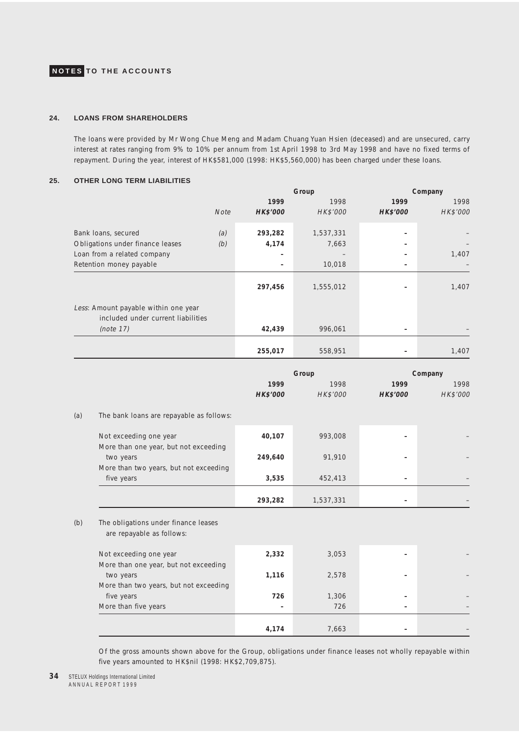### **24. LOANS FROM SHAREHOLDERS**

The loans were provided by Mr Wong Chue Meng and Madam Chuang Yuan Hsien (deceased) and are unsecured, carry interest at rates ranging from 9% to 10% per annum from 1st April 1998 to 3rd May 1998 and have no fixed terms of repayment. During the year, interest of HK\$581,000 (1998: HK\$5,560,000) has been charged under these loans.

### **25. OTHER LONG TERM LIABILITIES**

|                                                                            |                         | Group     |                 | Company  |  |
|----------------------------------------------------------------------------|-------------------------|-----------|-----------------|----------|--|
|                                                                            | 1999                    | 1998      | 1999            | 1998     |  |
|                                                                            | <b>HK\$'000</b><br>Note | HK\$'000  | <b>HK\$'000</b> | HK\$'000 |  |
| Bank loans, secured                                                        | (a)<br>293,282          | 1,537,331 |                 |          |  |
| Obligations under finance leases                                           | (b)<br>4,174            | 7,663     |                 |          |  |
| Loan from a related company                                                |                         |           |                 | 1,407    |  |
| Retention money payable                                                    |                         | 10,018    |                 |          |  |
|                                                                            | 297,456                 | 1,555,012 |                 | 1,407    |  |
| Less: Amount payable within one year<br>included under current liabilities |                         |           |                 |          |  |
| (note 17)                                                                  | 42,439                  | 996,061   |                 |          |  |
|                                                                            |                         |           |                 |          |  |
|                                                                            | 255,017                 | 558,951   |                 | 1,407    |  |

|                                                                   |                 | Group     |                 | Company  |
|-------------------------------------------------------------------|-----------------|-----------|-----------------|----------|
|                                                                   | 1999            | 1998      | 1999            | 1998     |
|                                                                   | <b>HK\$'000</b> | HK\$'000  | <b>HK\$'000</b> | HK\$'000 |
| The bank loans are repayable as follows:                          |                 |           |                 |          |
| Not exceeding one year                                            | 40,107          | 993,008   |                 |          |
| More than one year, but not exceeding<br>two years                | 249,640         | 91,910    |                 |          |
| More than two years, but not exceeding<br>five years              | 3,535           | 452,413   |                 |          |
|                                                                   | 293,282         | 1,537,331 |                 |          |
| The obligations under finance leases<br>are repayable as follows: |                 |           |                 |          |
| Not exceeding one year<br>More than one year, but not exceeding   | 2,332           | 3,053     |                 |          |
| two years<br>More than two years, but not exceeding               | 1,116           | 2,578     |                 |          |
| five years                                                        | 726             | 1,306     |                 |          |
| More than five years                                              |                 | 726       |                 |          |
|                                                                   |                 |           |                 |          |
|                                                                   | 4,174           | 7,663     |                 |          |

Of the gross amounts shown above for the Group, obligations under finance leases not wholly repayable within five years amounted to HK\$nil (1998: HK\$2,709,875).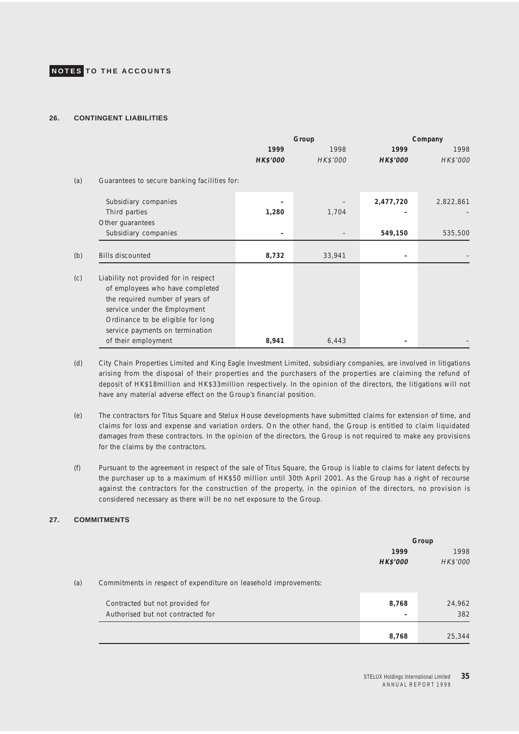### **26. CONTINGENT LIABILITIES**

|     |                                                                                                                                                                                                                     |                 | Group    | Company         |           |  |
|-----|---------------------------------------------------------------------------------------------------------------------------------------------------------------------------------------------------------------------|-----------------|----------|-----------------|-----------|--|
|     |                                                                                                                                                                                                                     | 1999            | 1998     | 1999            | 1998      |  |
|     |                                                                                                                                                                                                                     | <b>HK\$'000</b> | HK\$'000 | <b>HK\$'000</b> | HK\$'000  |  |
| (a) | Guarantees to secure banking facilities for:                                                                                                                                                                        |                 |          |                 |           |  |
|     | Subsidiary companies                                                                                                                                                                                                |                 |          | 2,477,720       | 2,822,861 |  |
|     | Third parties                                                                                                                                                                                                       | 1,280           | 1,704    |                 |           |  |
|     | Other guarantees                                                                                                                                                                                                    |                 |          |                 |           |  |
|     | Subsidiary companies                                                                                                                                                                                                |                 |          | 549,150         | 535,500   |  |
| (b) | <b>Bills discounted</b>                                                                                                                                                                                             | 8,732           | 33,941   |                 |           |  |
| (c) | Liability not provided for in respect<br>of employees who have completed<br>the required number of years of<br>service under the Employment<br>Ordinance to be eligible for long<br>service payments on termination |                 |          |                 |           |  |
|     | of their employment                                                                                                                                                                                                 | 8,941           | 6,443    |                 |           |  |

- (d) City Chain Properties Limited and King Eagle Investment Limited, subsidiary companies, are involved in litigations arising from the disposal of their properties and the purchasers of the properties are claiming the refund of deposit of HK\$18million and HK\$33million respectively. In the opinion of the directors, the litigations will not have any material adverse effect on the Group's financial position.
- (e) The contractors for Titus Square and Stelux House developments have submitted claims for extension of time, and claims for loss and expense and variation orders. On the other hand, the Group is entitled to claim liquidated damages from these contractors. In the opinion of the directors, the Group is not required to make any provisions for the claims by the contractors.
- (f) Pursuant to the agreement in respect of the sale of Titus Square, the Group is liable to claims for latent defects by the purchaser up to a maximum of HK\$50 million until 30th April 2001. As the Group has a right of recourse against the contractors for the construction of the property, in the opinion of the directors, no provision is considered necessary as there will be no net exposure to the Group.

### **27. COMMITMENTS**

|     |                                                                  | Group    |          |
|-----|------------------------------------------------------------------|----------|----------|
|     |                                                                  | 1999     | 1998     |
|     |                                                                  | HK\$'000 | HK\$'000 |
| (a) | Commitments in respect of expenditure on leasehold improvements: |          |          |
|     | Contracted but not provided for                                  | 8,768    | 24,962   |
|     | Authorised but not contracted for                                |          | 382      |
|     |                                                                  |          |          |
|     |                                                                  | 8,768    | 25,344   |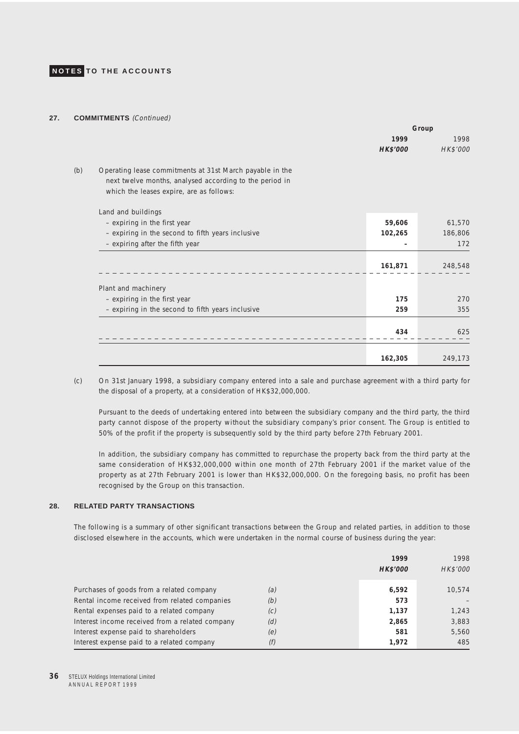#### **27. COMMITMENTS** (Continued)

|                                                          | Group    |          |
|----------------------------------------------------------|----------|----------|
|                                                          | 1999     | 1998     |
|                                                          | HK\$'000 | HK\$'000 |
| Operating lease commitments at 31st March payable in the |          |          |
| next twelve months, analysed according to the period in  |          |          |
| which the leases expire, are as follows:                 |          |          |
| Land and buildings                                       |          |          |
| - expiring in the first year                             | 59,606   | 61,570   |
| - expiring in the second to fifth years inclusive        | 102,265  | 186,806  |
| - expiring after the fifth year                          |          | 172      |
|                                                          |          |          |
|                                                          | 161,871  | 248,548  |
| Plant and machinery                                      |          |          |
| - expiring in the first year                             | 175      | 270      |
| - expiring in the second to fifth years inclusive        | 259      | 355      |
|                                                          | 434      | 625      |
|                                                          |          |          |
|                                                          | 162,305  | 249,173  |

(c) On 31st January 1998, a subsidiary company entered into a sale and purchase agreement with a third party for the disposal of a property, at a consideration of HK\$32,000,000.

Pursuant to the deeds of undertaking entered into between the subsidiary company and the third party, the third party cannot dispose of the property without the subsidiary company's prior consent. The Group is entitled to 50% of the profit if the property is subsequently sold by the third party before 27th February 2001.

In addition, the subsidiary company has committed to repurchase the property back from the third party at the same consideration of HK\$32,000,000 within one month of 27th February 2001 if the market value of the property as at 27th February 2001 is lower than HK\$32,000,000. On the foregoing basis, no profit has been recognised by the Group on this transaction.

### **28. RELATED PARTY TRANSACTIONS**

The following is a summary of other significant transactions between the Group and related parties, in addition to those disclosed elsewhere in the accounts, which were undertaken in the normal course of business during the year:

|                                                 |     | 1999<br>HK\$'000 | 1998<br>HK\$'000 |
|-------------------------------------------------|-----|------------------|------------------|
| Purchases of goods from a related company       | (a) | 6,592            | 10.574           |
| Rental income received from related companies   | (b) | 573              |                  |
| Rental expenses paid to a related company       | (c) | 1,137            | 1,243            |
| Interest income received from a related company | (d) | 2,865            | 3,883            |
| Interest expense paid to shareholders           | (e) | 581              | 5,560            |
| Interest expense paid to a related company      | (f) | 1,972            | 485              |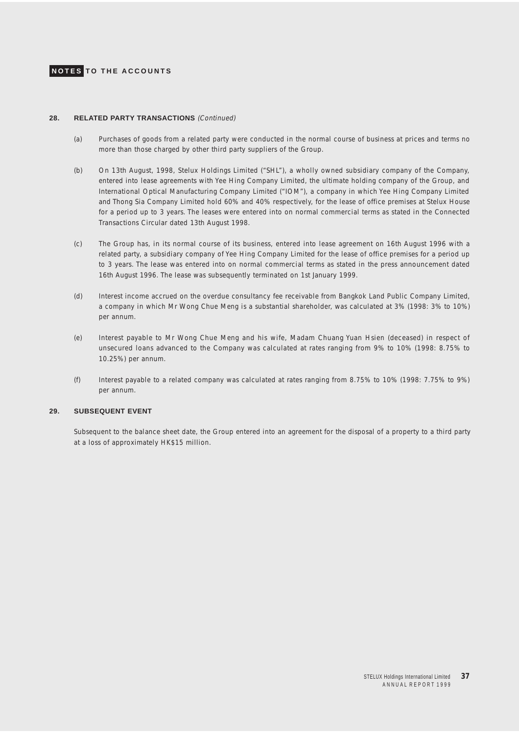

### **28. RELATED PARTY TRANSACTIONS** (Continued)

- (a) Purchases of goods from a related party were conducted in the normal course of business at prices and terms no more than those charged by other third party suppliers of the Group.
- (b) On 13th August, 1998, Stelux Holdings Limited ("SHL"), a wholly owned subsidiary company of the Company, entered into lease agreements with Yee Hing Company Limited, the ultimate holding company of the Group, and International Optical Manufacturing Company Limited ("IOM"), a company in which Yee Hing Company Limited and Thong Sia Company Limited hold 60% and 40% respectively, for the lease of office premises at Stelux House for a period up to 3 years. The leases were entered into on normal commercial terms as stated in the Connected Transactions Circular dated 13th August 1998.
- (c) The Group has, in its normal course of its business, entered into lease agreement on 16th August 1996 with a related party, a subsidiary company of Yee Hing Company Limited for the lease of office premises for a period up to 3 years. The lease was entered into on normal commercial terms as stated in the press announcement dated 16th August 1996. The lease was subsequently terminated on 1st January 1999.
- (d) Interest income accrued on the overdue consultancy fee receivable from Bangkok Land Public Company Limited, a company in which Mr Wong Chue Meng is a substantial shareholder, was calculated at 3% (1998: 3% to 10%) per annum.
- (e) Interest payable to Mr Wong Chue Meng and his wife, Madam Chuang Yuan Hsien (deceased) in respect of unsecured loans advanced to the Company was calculated at rates ranging from 9% to 10% (1998: 8.75% to 10.25%) per annum.
- (f) Interest payable to a related company was calculated at rates ranging from 8.75% to 10% (1998: 7.75% to 9%) per annum.

### **29. SUBSEQUENT EVENT**

Subsequent to the balance sheet date, the Group entered into an agreement for the disposal of a property to a third party at a loss of approximately HK\$15 million.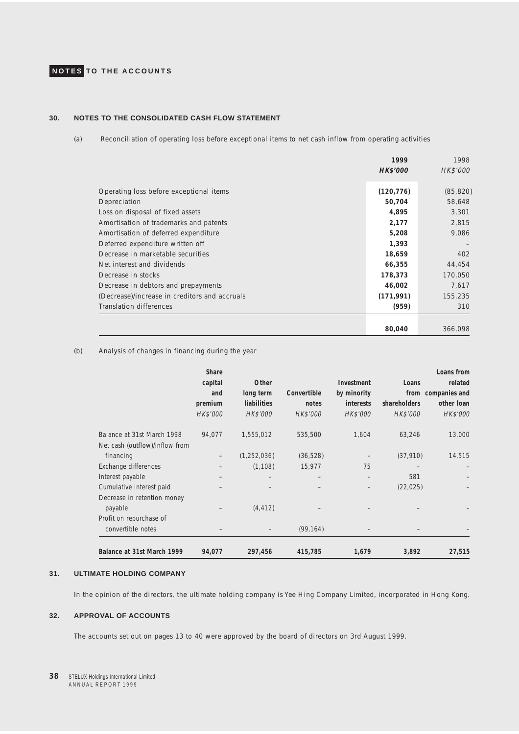### **30. NOTES TO THE CONSOLIDATED CASH FLOW STATEMENT**

(a) Reconciliation of operating loss before exceptional items to net cash inflow from operating activities

|                                               | 1999       | 1998      |
|-----------------------------------------------|------------|-----------|
|                                               | HK\$'000   | HK\$'000  |
|                                               |            |           |
| Operating loss before exceptional items       | (120, 776) | (85, 820) |
| Depreciation                                  | 50,704     | 58,648    |
| Loss on disposal of fixed assets              | 4,895      | 3,301     |
| Amortisation of trademarks and patents        | 2,177      | 2,815     |
| Amortisation of deferred expenditure          | 5,208      | 9,086     |
| Deferred expenditure written off              | 1,393      |           |
| Decrease in marketable securities             | 18,659     | 402       |
| Net interest and dividends                    | 66,355     | 44,454    |
| Decrease in stocks                            | 178,373    | 170,050   |
| Decrease in debtors and prepayments           | 46,002     | 7,617     |
| (Decrease)/increase in creditors and accruals | (171, 991) | 155,235   |
| <b>Translation differences</b>                | (959)      | 310       |
|                                               |            |           |
|                                               | 80,040     | 366,098   |

### (b) Analysis of changes in financing during the year

|                                                              | Share<br>capital<br>and<br>premium<br>HK\$'000 | Other<br>long term<br><b>liabilities</b><br>HK\$'000 | Convertible<br>notes<br>HK\$'000 | Investment<br>by minority<br>interests<br>HK\$'000 | Loans<br><b>shareholders</b><br>HK\$'000 | Loans from<br>related<br>from companies and<br>other loan<br>HK\$'000 |
|--------------------------------------------------------------|------------------------------------------------|------------------------------------------------------|----------------------------------|----------------------------------------------------|------------------------------------------|-----------------------------------------------------------------------|
| Balance at 31st March 1998<br>Net cash (outflow)/inflow from | 94,077                                         | 1,555,012                                            | 535,500                          | 1,604                                              | 63,246                                   | 13,000                                                                |
| financing                                                    |                                                | (1, 252, 036)                                        | (36, 528)                        |                                                    | (37, 910)                                | 14,515                                                                |
| Exchange differences                                         |                                                | (1, 108)                                             | 15,977                           | 75                                                 |                                          |                                                                       |
| Interest payable                                             |                                                |                                                      |                                  | $\qquad \qquad -$                                  | 581                                      |                                                                       |
| Cumulative interest paid                                     |                                                |                                                      |                                  | $\qquad \qquad -$                                  | (22, 025)                                |                                                                       |
| Decrease in retention money                                  |                                                |                                                      |                                  |                                                    |                                          |                                                                       |
| payable                                                      |                                                | (4, 412)                                             |                                  |                                                    |                                          |                                                                       |
| Profit on repurchase of                                      |                                                |                                                      |                                  |                                                    |                                          |                                                                       |
| convertible notes                                            |                                                |                                                      | (99, 164)                        |                                                    |                                          |                                                                       |
| Balance at 31st March 1999                                   | 94,077                                         | 297,456                                              | 415,785                          | 1,679                                              | 3,892                                    | 27,515                                                                |

### **31. ULTIMATE HOLDING COMPANY**

In the opinion of the directors, the ultimate holding company is Yee Hing Company Limited, incorporated in Hong Kong.

### **32. APPROVAL OF ACCOUNTS**

The accounts set out on pages 13 to 40 were approved by the board of directors on 3rd August 1999.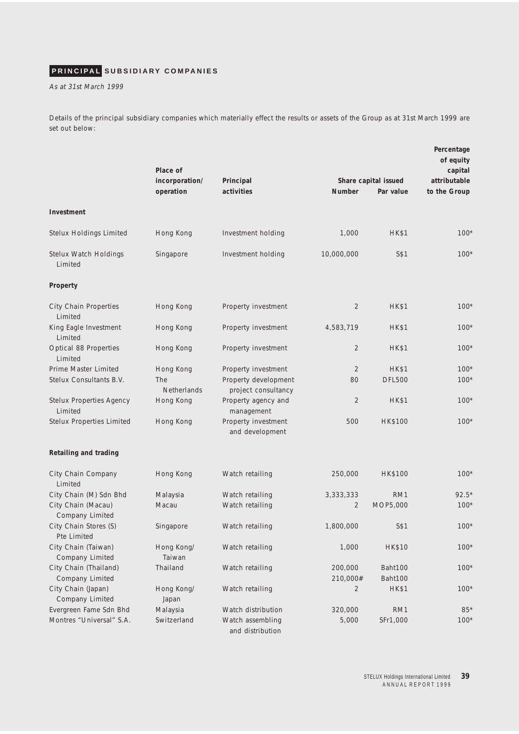# <span id="page-38-0"></span>**PRINCIPAL SUBSIDIARY COMPANIES**

As at 31st March 1999

Details of the principal subsidiary companies which materially effect the results or assets of the Group as at 31st March 1999 are set out below:

|                                            | Place of<br>incorporation/<br>operation | Principal<br>activities                     | <b>Number</b>       | Share capital issued<br>Par value | Percentage<br>of equity<br>capital<br>attributable<br>to the Group |
|--------------------------------------------|-----------------------------------------|---------------------------------------------|---------------------|-----------------------------------|--------------------------------------------------------------------|
| Investment                                 |                                         |                                             |                     |                                   |                                                                    |
| Stelux Holdings Limited                    | Hong Kong                               | Investment holding                          | 1,000               | <b>HK\$1</b>                      | $100*$                                                             |
| Stelux Watch Holdings<br>Limited           | Singapore                               | Investment holding                          | 10,000,000          | S\$1                              | $100*$                                                             |
| Property                                   |                                         |                                             |                     |                                   |                                                                    |
| City Chain Properties<br>Limited           | Hong Kong                               | Property investment                         | 2                   | <b>HK\$1</b>                      | $100*$                                                             |
| King Eagle Investment<br>Limited           | Hong Kong                               | Property investment                         | 4,583,719           | <b>HK\$1</b>                      | $100*$                                                             |
| Optical 88 Properties<br>Limited           | Hong Kong                               | Property investment                         | $\overline{2}$      | <b>HK\$1</b>                      | $100*$                                                             |
| Prime Master Limited                       | Hong Kong                               | Property investment                         | $\overline{2}$      | <b>HK\$1</b>                      | $100*$                                                             |
| Stelux Consultants B.V.                    | The<br>Netherlands                      | Property development<br>project consultancy | 80                  | <b>DFL500</b>                     | $100*$                                                             |
| <b>Stelux Properties Agency</b><br>Limited | Hong Kong                               | Property agency and<br>management           | 2                   | <b>HK\$1</b>                      | $100*$                                                             |
| <b>Stelux Properties Limited</b>           | Hong Kong                               | Property investment<br>and development      | 500                 | <b>HK\$100</b>                    | $100*$                                                             |
| Retailing and trading                      |                                         |                                             |                     |                                   |                                                                    |
| City Chain Company<br>Limited              | Hong Kong                               | Watch retailing                             | 250,000             | <b>HK\$100</b>                    | $100*$                                                             |
| City Chain (M) Sdn Bhd                     | Malaysia                                | Watch retailing                             | 3,333,333           | RM1                               | $92.5*$                                                            |
| City Chain (Macau)<br>Company Limited      | Macau                                   | Watch retailing                             | 2                   | MOP5,000                          | $100*$                                                             |
| City Chain Stores (S)<br>Pte Limited       | Singapore                               | Watch retailing                             | 1,800,000           | S\$1                              | $100*$                                                             |
| City Chain (Taiwan)<br>Company Limited     | Hong Kong/<br>Taiwan                    | Watch retailing                             | 1,000               | <b>HK\$10</b>                     | $100*$                                                             |
| City Chain (Thailand)<br>Company Limited   | Thailand                                | Watch retailing                             | 200,000<br>210,000# | Baht100<br>Baht100                | $100*$                                                             |
| City Chain (Japan)<br>Company Limited      | Hong Kong/<br>Japan                     | Watch retailing                             | 2                   | <b>HK\$1</b>                      | $100*$                                                             |
| Evergreen Fame Sdn Bhd                     | Malaysia                                | Watch distribution                          | 320,000             | RM1                               | $85*$                                                              |
| Montres "Universal" S.A.                   | Switzerland                             | Watch assembling<br>and distribution        | 5,000               | SFr1,000                          | $100*$                                                             |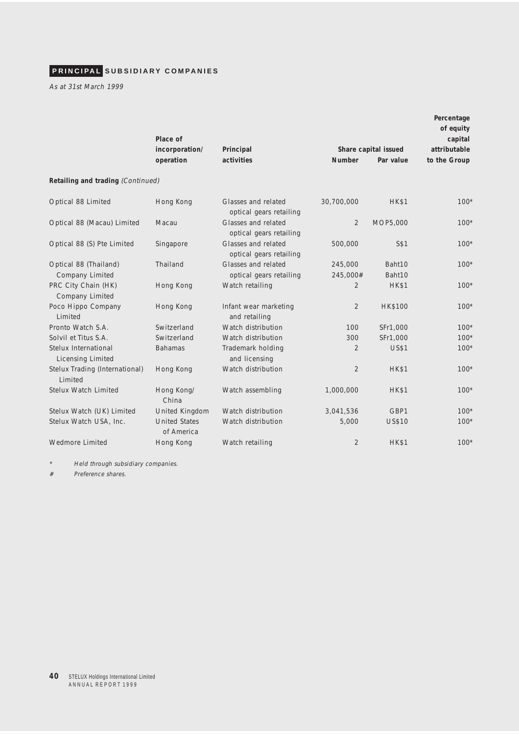# **PRINCIPAL SUBSIDIARY COMPANIES**

As at 31st March 1999

|                                                  | Place of                           |                                                |                     |                      | Percentage<br>of equity<br>capital |  |
|--------------------------------------------------|------------------------------------|------------------------------------------------|---------------------|----------------------|------------------------------------|--|
|                                                  | incorporation/                     | Principal                                      |                     | Share capital issued | attributable                       |  |
|                                                  | operation                          | activities                                     | <b>Number</b>       | Par value            | to the Group                       |  |
| Retailing and trading (Continued)                |                                    |                                                |                     |                      |                                    |  |
| Optical 88 Limited                               | Hong Kong                          | Glasses and related<br>optical gears retailing | 30,700,000          | <b>HK\$1</b>         | $100*$                             |  |
| Optical 88 (Macau) Limited                       | Macau                              | Glasses and related<br>optical gears retailing | $\overline{2}$      | MOP5,000             | $100*$                             |  |
| Optical 88 (S) Pte Limited                       | Singapore                          | Glasses and related<br>optical gears retailing | 500,000             | S\$1                 | $100*$                             |  |
| Optical 88 (Thailand)<br>Company Limited         | Thailand                           | Glasses and related<br>optical gears retailing | 245,000<br>245,000# | Baht10<br>Baht10     | $100*$                             |  |
| PRC City Chain (HK)<br>Company Limited           | Hong Kong                          | Watch retailing                                | $\overline{2}$      | <b>HK\$1</b>         | $100*$                             |  |
| Poco Hippo Company<br>Limited                    | Hong Kong                          | Infant wear marketing<br>and retailing         | $\overline{2}$      | <b>HK\$100</b>       | $100*$                             |  |
| Pronto Watch S.A.                                | Switzerland                        | Watch distribution                             | 100                 | SFr1,000             | $100*$                             |  |
| Solvil et Titus S.A.                             | Switzerland                        | Watch distribution                             | 300                 | SFr1,000             | $100*$                             |  |
| Stelux International<br><b>Licensing Limited</b> | <b>Bahamas</b>                     | Trademark holding<br>and licensing             | 2                   | <b>US\$1</b>         | $100*$                             |  |
| Stelux Trading (International)<br>Limited        | Hong Kong                          | Watch distribution                             | $\overline{2}$      | <b>HK\$1</b>         | $100*$                             |  |
| Stelux Watch Limited                             | Hong Kong/<br>China                | Watch assembling                               | 1,000,000           | <b>HK\$1</b>         | $100*$                             |  |
| Stelux Watch (UK) Limited                        | United Kingdom                     | Watch distribution                             | 3,041,536           | GBP1                 | $100*$                             |  |
| Stelux Watch USA, Inc.                           | <b>United States</b><br>of America | Watch distribution                             | 5,000               | <b>US\$10</b>        | $100*$                             |  |
| <b>Wedmore Limited</b>                           | Hong Kong                          | Watch retailing                                | $\overline{2}$      | <b>HK\$1</b>         | $100*$                             |  |

\*Held through subsidiary companies.

# Preference shares.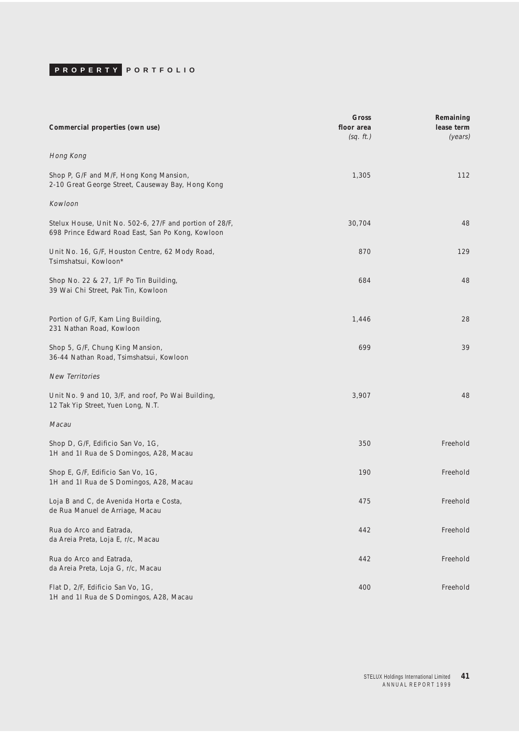<span id="page-40-0"></span>

| Commercial properties (own use)                                                                              | Gross<br>floor area<br>(sq. ft.) | Remaining<br>lease term<br>(years) |
|--------------------------------------------------------------------------------------------------------------|----------------------------------|------------------------------------|
| Hong Kong                                                                                                    |                                  |                                    |
| Shop P, G/F and M/F, Hong Kong Mansion,<br>2-10 Great George Street, Causeway Bay, Hong Kong                 | 1,305                            | 112                                |
| Kowloon                                                                                                      |                                  |                                    |
| Stelux House, Unit No. 502-6, 27/F and portion of 28/F,<br>698 Prince Edward Road East, San Po Kong, Kowloon | 30,704                           | 48                                 |
| Unit No. 16, G/F, Houston Centre, 62 Mody Road,<br>Tsimshatsui, Kowloon*                                     | 870                              | 129                                |
| Shop No. 22 & 27, 1/F Po Tin Building,<br>39 Wai Chi Street, Pak Tin, Kowloon                                | 684                              | 48                                 |
| Portion of G/F, Kam Ling Building,<br>231 Nathan Road, Kowloon                                               | 1,446                            | 28                                 |
| Shop 5, G/F, Chung King Mansion,<br>36-44 Nathan Road, Tsimshatsui, Kowloon                                  | 699                              | 39                                 |
| <b>New Territories</b>                                                                                       |                                  |                                    |
| Unit No. 9 and 10, 3/F, and roof, Po Wai Building,<br>12 Tak Yip Street, Yuen Long, N.T.                     | 3,907                            | 48                                 |
| Macau                                                                                                        |                                  |                                    |
| Shop D, G/F, Edificio San Vo, 1G,<br>1H and 1I Rua de S Domingos, A28, Macau                                 | 350                              | Freehold                           |
| Shop E, G/F, Edificio San Vo, 1G,<br>1H and 1I Rua de S Domingos, A28, Macau                                 | 190                              | Freehold                           |
| Loja B and C, de Avenida Horta e Costa,<br>de Rua Manuel de Arriage, Macau                                   | 475                              | Freehold                           |
| Rua do Arco and Eatrada,<br>da Areia Preta, Loja E, r/c, Macau                                               | 442                              | Freehold                           |
| Rua do Arco and Eatrada,<br>da Areia Preta, Loja G, r/c, Macau                                               | 442                              | Freehold                           |
| Flat D, 2/F, Edificio San Vo, 1G,<br>1H and 1I Rua de S Domingos, A28, Macau                                 | 400                              | Freehold                           |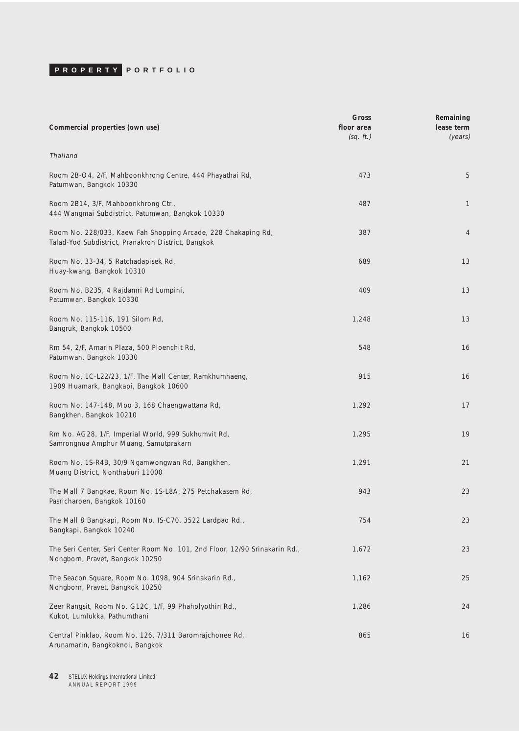| Commercial properties (own use)                                                                                     | Gross<br>floor area<br>(sq. ft.) | Remaining<br>lease term<br>(years) |
|---------------------------------------------------------------------------------------------------------------------|----------------------------------|------------------------------------|
| Thailand                                                                                                            |                                  |                                    |
| Room 2B-O4, 2/F, Mahboonkhrong Centre, 444 Phayathai Rd,<br>Patumwan, Bangkok 10330                                 | 473                              | 5                                  |
| Room 2B14, 3/F, Mahboonkhrong Ctr.,<br>444 Wangmai Subdistrict, Patumwan, Bangkok 10330                             | 487                              | $\mathbf{1}$                       |
| Room No. 228/033, Kaew Fah Shopping Arcade, 228 Chakaping Rd,<br>Talad-Yod Subdistrict, Pranakron District, Bangkok | 387                              | $\overline{4}$                     |
| Room No. 33-34, 5 Ratchadapisek Rd,<br>Huay-kwang, Bangkok 10310                                                    | 689                              | 13                                 |
| Room No. B235, 4 Rajdamri Rd Lumpini,<br>Patumwan, Bangkok 10330                                                    | 409                              | 13                                 |
| Room No. 115-116, 191 Silom Rd,<br>Bangruk, Bangkok 10500                                                           | 1,248                            | 13                                 |
| Rm 54, 2/F, Amarin Plaza, 500 Ploenchit Rd,<br>Patumwan, Bangkok 10330                                              | 548                              | 16                                 |
| Room No. 1C-L22/23, 1/F, The Mall Center, Ramkhumhaeng,<br>1909 Huamark, Bangkapi, Bangkok 10600                    | 915                              | 16                                 |
| Room No. 147-148, Moo 3, 168 Chaengwattana Rd,<br>Bangkhen, Bangkok 10210                                           | 1,292                            | 17                                 |
| Rm No. AG28, 1/F, Imperial World, 999 Sukhumvit Rd,<br>Samrongnua Amphur Muang, Samutprakarn                        | 1,295                            | 19                                 |
| Room No. 1S-R4B, 30/9 Ngamwongwan Rd, Bangkhen,<br>Muang District, Nonthaburi 11000                                 | 1,291                            | 21                                 |
| The Mall 7 Bangkae, Room No. 1S-L8A, 275 Petchakasem Rd,<br>Pasricharoen, Bangkok 10160                             | 943                              | 23                                 |
| The Mall 8 Bangkapi, Room No. IS-C70, 3522 Lardpao Rd.,<br>Bangkapi, Bangkok 10240                                  | 754                              | 23                                 |
| The Seri Center, Seri Center Room No. 101, 2nd Floor, 12/90 Srinakarin Rd.,<br>Nongborn, Pravet, Bangkok 10250      | 1,672                            | 23                                 |
| The Seacon Square, Room No. 1098, 904 Srinakarin Rd.,<br>Nongborn, Pravet, Bangkok 10250                            | 1,162                            | 25                                 |
| Zeer Rangsit, Room No. G12C, 1/F, 99 Phaholyothin Rd.,<br>Kukot, Lumlukka, Pathumthani                              | 1,286                            | 24                                 |
| Central Pinklao, Room No. 126, 7/311 Baromrajchonee Rd,<br>Arunamarin, Bangkoknoi, Bangkok                          | 865                              | 16                                 |

**42** STELUX Holdings International Limited A N N U A L R E P O R T 1 9 9 9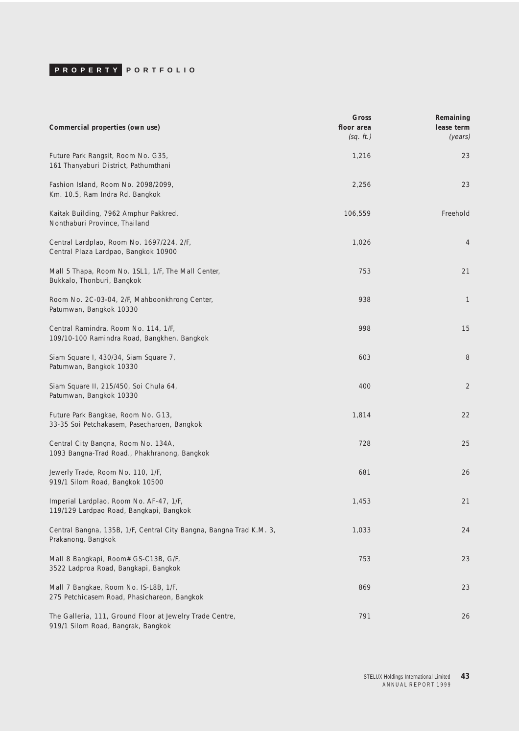| Commercial properties (own use)                                                                | Gross<br>floor area<br>(sq. ft.) | Remaining<br>lease term<br>(years) |
|------------------------------------------------------------------------------------------------|----------------------------------|------------------------------------|
| Future Park Rangsit, Room No. G35,<br>161 Thanyaburi District, Pathumthani                     | 1,216                            | 23                                 |
| Fashion Island, Room No. 2098/2099,<br>Km. 10.5, Ram Indra Rd, Bangkok                         | 2,256                            | 23                                 |
| Kaitak Building, 7962 Amphur Pakkred,<br>Nonthaburi Province, Thailand                         | 106,559                          | Freehold                           |
| Central Lardplao, Room No. 1697/224, 2/F,<br>Central Plaza Lardpao, Bangkok 10900              | 1,026                            | 4                                  |
| Mall 5 Thapa, Room No. 1SL1, 1/F, The Mall Center,<br>Bukkalo, Thonburi, Bangkok               | 753                              | 21                                 |
| Room No. 2C-03-04, 2/F, Mahboonkhrong Center,<br>Patumwan, Bangkok 10330                       | 938                              | 1                                  |
| Central Ramindra, Room No. 114, 1/F,<br>109/10-100 Ramindra Road, Bangkhen, Bangkok            | 998                              | 15                                 |
| Siam Square I, 430/34, Siam Square 7,<br>Patumwan, Bangkok 10330                               | 603                              | 8                                  |
| Siam Square II, 215/450, Soi Chula 64,<br>Patumwan, Bangkok 10330                              | 400                              | $\overline{2}$                     |
| Future Park Bangkae, Room No. G13,<br>33-35 Soi Petchakasem, Pasecharoen, Bangkok              | 1,814                            | 22                                 |
| Central City Bangna, Room No. 134A,<br>1093 Bangna-Trad Road., Phakhranong, Bangkok            | 728                              | 25                                 |
| Jewerly Trade, Room No. 110, 1/F,<br>919/1 Silom Road, Bangkok 10500                           | 681                              | 26                                 |
| Imperial Lardplao, Room No. AF-47, 1/F,<br>119/129 Lardpao Road, Bangkapi, Bangkok             | 1,453                            | 21                                 |
| Central Bangna, 135B, 1/F, Central City Bangna, Bangna Trad K.M. 3,<br>Prakanong, Bangkok      | 1,033                            | 24                                 |
| Mall 8 Bangkapi, Room# GS-C13B, G/F,<br>3522 Ladproa Road, Bangkapi, Bangkok                   | 753                              | 23                                 |
| Mall 7 Bangkae, Room No. IS-L8B, 1/F,<br>275 Petchicasem Road, Phasichareon, Bangkok           | 869                              | 23                                 |
| The Galleria, 111, Ground Floor at Jewelry Trade Centre,<br>919/1 Silom Road, Bangrak, Bangkok | 791                              | 26                                 |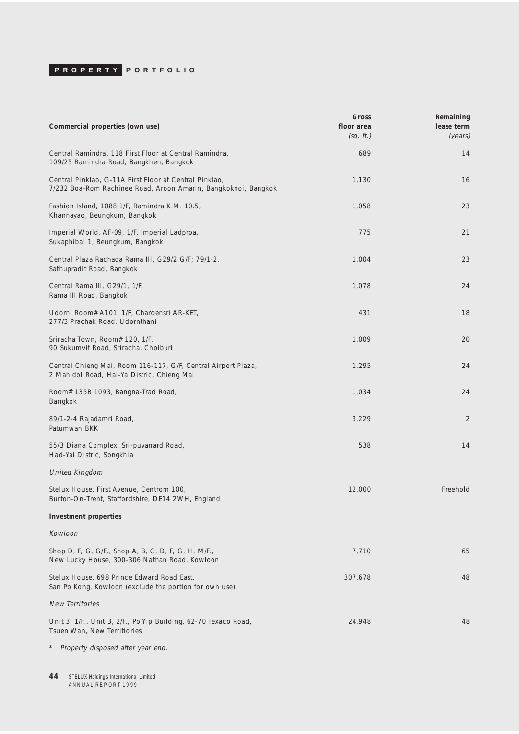| Commercial properties (own use)                                                                                          | Gross<br>floor area<br>(sq. ft.) | Remaining<br>lease term<br>(years) |
|--------------------------------------------------------------------------------------------------------------------------|----------------------------------|------------------------------------|
| Central Ramindra, 118 First Floor at Central Ramindra,<br>109/25 Ramindra Road, Bangkhen, Bangkok                        | 689                              | 14                                 |
| Central Pinklao, G-11A First Floor at Central Pinklao,<br>7/232 Boa-Rom Rachinee Road, Aroon Amarin, Bangkoknoi, Bangkok | 1,130                            | 16                                 |
| Fashion Island, 1088, 1/F, Ramindra K.M. 10.5,<br>Khannayao, Beungkum, Bangkok                                           | 1,058                            | 23                                 |
| Imperial World, AF-09, 1/F, Imperial Ladproa,<br>Sukaphibal 1, Beungkum, Bangkok                                         | 775                              | 21                                 |
| Central Plaza Rachada Rama III, G29/2 G/F; 79/1-2,<br>Sathupradit Road, Bangkok                                          | 1,004                            | 23                                 |
| Central Rama III, G29/1, 1/F,<br>Rama III Road, Bangkok                                                                  | 1,078                            | 24                                 |
| Udorn, Room# A101, 1/F, Charoensri AR-KET,<br>277/3 Prachak Road, Udornthani                                             | 431                              | 18                                 |
| Sriracha Town, Room# 120, 1/F,<br>90 Sukumvit Road, Sriracha, Cholburi                                                   | 1,009                            | 20                                 |
| Central Chieng Mai, Room 116-117, G/F, Central Airport Plaza,<br>2 Mahidol Road, Hai-Ya Distric, Chieng Mai              | 1,295                            | 24                                 |
| Room# 135B 1093, Bangna-Trad Road,<br>Bangkok                                                                            | 1,034                            | 24                                 |
| 89/1-2-4 Rajadamri Road,<br>Patumwan BKK                                                                                 | 3,229                            | 2                                  |
| 55/3 Diana Complex, Sri-puvanard Road,<br>Had-Yai Distric, Songkhla                                                      | 538                              | 14                                 |
| <b>United Kingdom</b>                                                                                                    |                                  |                                    |
| Stelux House, First Avenue, Centrom 100,<br>Burton-On-Trent, Staffordshire, DE14 2WH, England                            | 12,000                           | Freehold                           |
| <b>Investment properties</b>                                                                                             |                                  |                                    |
| Kowloon                                                                                                                  |                                  |                                    |
| Shop D, F, G, G/F., Shop A, B, C, D, F, G, H, M/F.,<br>New Lucky House, 300-306 Nathan Road, Kowloon                     | 7,710                            | 65                                 |
| Stelux House, 698 Prince Edward Road East,<br>San Po Kong, Kowloon (exclude the portion for own use)                     | 307,678                          | 48                                 |
| <b>New Territories</b>                                                                                                   |                                  |                                    |
| Unit 3, 1/F., Unit 3, 2/F., Po Yip Building, 62-70 Texaco Road,<br>Tsuen Wan, New Territiories                           | 24,948                           | 48                                 |

\* Property disposed after year end.

**44** STELUX Holdings International Limited<br>A N N U A L R E P O R T 1999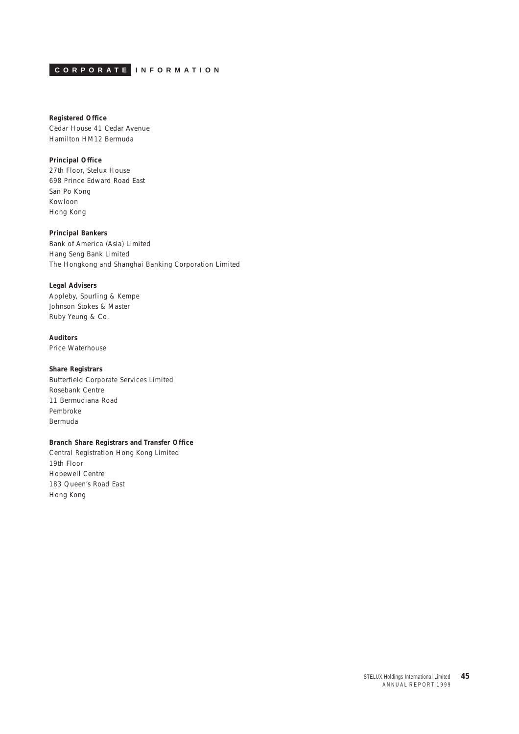<span id="page-44-0"></span>**CORPORATE INFORMATION**

## **Registered Office**

Cedar House 41 Cedar Avenue Hamilton HM12 Bermuda

### **Principal Office**

27th Floor, Stelux House 698 Prince Edward Road East San Po Kong Kowloon Hong Kong

### **Principal Bankers**

Bank of America (Asia) Limited Hang Seng Bank Limited The Hongkong and Shanghai Banking Corporation Limited

### **Legal Advisers**

Appleby, Spurling & Kempe Johnson Stokes & Master Ruby Yeung & Co.

### **Auditors**

Price Waterhouse

#### **Share Registrars**

Butterfield Corporate Services Limited Rosebank Centre 11 Bermudiana Road Pembroke Bermuda

### **Branch Share Registrars and Transfer Office**

Central Registration Hong Kong Limited 19th Floor Hopewell Centre 183 Queen's Road East Hong Kong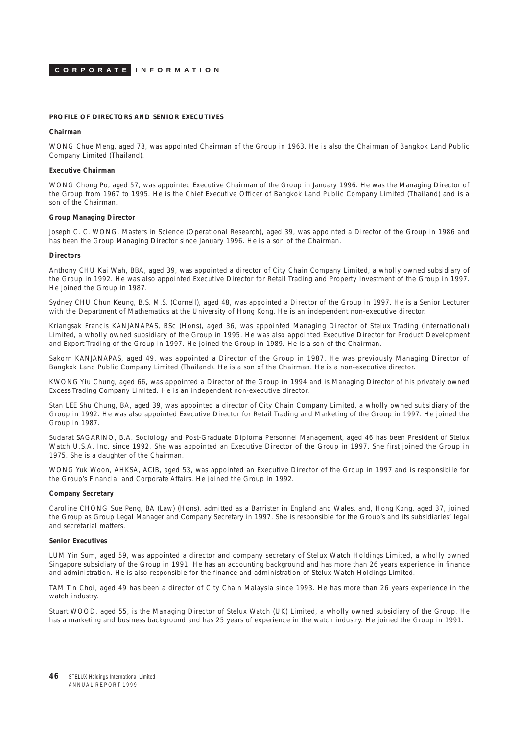

#### **PROFILE OF DIRECTORS AND SENIOR EXECUTIVES**

#### **Chairman**

WONG Chue Meng, aged 78, was appointed Chairman of the Group in 1963. He is also the Chairman of Bangkok Land Public Company Limited (Thailand).

#### **Executive Chairman**

WONG Chong Po, aged 57, was appointed Executive Chairman of the Group in January 1996. He was the Managing Director of the Group from 1967 to 1995. He is the Chief Executive Officer of Bangkok Land Public Company Limited (Thailand) and is a son of the Chairman.

#### **Group Managing Director**

Joseph C. C. WONG, Masters in Science (Operational Research), aged 39, was appointed a Director of the Group in 1986 and has been the Group Managing Director since January 1996. He is a son of the Chairman.

#### **Directors**

Anthony CHU Kai Wah, BBA, aged 39, was appointed a director of City Chain Company Limited, a wholly owned subsidiary of the Group in 1992. He was also appointed Executive Director for Retail Trading and Property Investment of the Group in 1997. He joined the Group in 1987.

Sydney CHU Chun Keung, B.S. M.S. (Cornell), aged 48, was appointed a Director of the Group in 1997. He is a Senior Lecturer with the Department of Mathematics at the University of Hong Kong. He is an independent non-executive director.

Kriangsak Francis KANJANAPAS, BSc (Hons), aged 36, was appointed Managing Director of Stelux Trading (International) Limited, a wholly owned subsidiary of the Group in 1995. He was also appointed Executive Director for Product Development and Export Trading of the Group in 1997. He joined the Group in 1989. He is a son of the Chairman.

Sakorn KANJANAPAS, aged 49, was appointed a Director of the Group in 1987. He was previously Managing Director of Bangkok Land Public Company Limited (Thailand). He is a son of the Chairman. He is a non-executive director.

KWONG Yiu Chung, aged 66, was appointed a Director of the Group in 1994 and is Managing Director of his privately owned Excess Trading Company Limited. He is an independent non-executive director.

Stan LEE Shu Chung, BA, aged 39, was appointed a director of City Chain Company Limited, a wholly owned subsidiary of the Group in 1992. He was also appointed Executive Director for Retail Trading and Marketing of the Group in 1997. He joined the Group in 1987.

Sudarat SAGARINO, B.A. Sociology and Post-Graduate Diploma Personnel Management, aged 46 has been President of Stelux Watch U.S.A. Inc. since 1992. She was appointed an Executive Director of the Group in 1997. She first joined the Group in 1975. She is a daughter of the Chairman.

WONG Yuk Woon, AHKSA, ACIB, aged 53, was appointed an Executive Director of the Group in 1997 and is responsibile for the Group's Financial and Corporate Affairs. He joined the Group in 1992.

#### **Company Secretary**

Caroline CHONG Sue Peng, BA (Law) (Hons), admitted as a Barrister in England and Wales, and, Hong Kong, aged 37, joined the Group as Group Legal Manager and Company Secretary in 1997. She is responsible for the Group's and its subsidiaries' legal and secretarial matters.

#### **Senior Executives**

LUM Yin Sum, aged 59, was appointed a director and company secretary of Stelux Watch Holdings Limited, a wholly owned Singapore subsidiary of the Group in 1991. He has an accounting background and has more than 26 years experience in finance and administration. He is also responsible for the finance and administration of Stelux Watch Holdings Limited.

TAM Tin Choi, aged 49 has been a director of City Chain Malaysia since 1993. He has more than 26 years experience in the watch industry.

Stuart WOOD, aged 55, is the Managing Director of Stelux Watch (UK) Limited, a wholly owned subsidiary of the Group. He has a marketing and business background and has 25 years of experience in the watch industry. He joined the Group in 1991.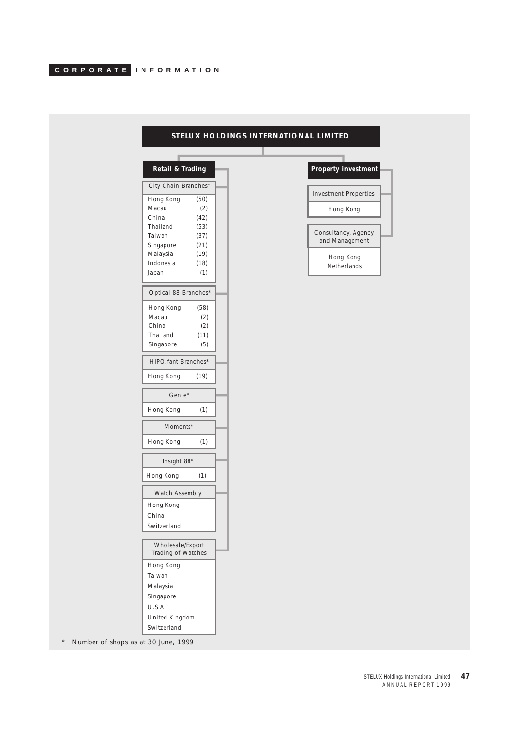| Retail & Trading<br>City Chain Branches*<br>Hong Kong<br>(50)<br>Macau<br>(2)<br>China<br>(42)<br>Thailand<br>(53)<br>Taiwan<br>(37)<br>Singapore<br>(21)<br>Malaysia<br>(19)<br>Indonesia<br>(18)<br>Japan<br>(1)<br>Optical 88 Branches*<br>Hong Kong<br>(58)<br>Macau<br>(2)<br>China<br>(2)<br>Thailand<br>(11)<br>Singapore<br>(5)<br>HIPO.fant Branches*<br>Hong Kong<br>(19)<br>Genie*<br>Hong Kong<br>(1)<br>Moments*<br>Hong Kong<br>(1)<br>Insight 88*<br>Hong Kong<br>(1)<br>Watch Assembly<br>Hong Kong<br>China<br>Switzerland<br>Wholesale/Export<br>Trading of Watches<br>Hong Kong<br>Taiwan |                       |  |  |
|--------------------------------------------------------------------------------------------------------------------------------------------------------------------------------------------------------------------------------------------------------------------------------------------------------------------------------------------------------------------------------------------------------------------------------------------------------------------------------------------------------------------------------------------------------------------------------------------------------------|-----------------------|--|--|
|                                                                                                                                                                                                                                                                                                                                                                                                                                                                                                                                                                                                              | Property investment   |  |  |
|                                                                                                                                                                                                                                                                                                                                                                                                                                                                                                                                                                                                              | Investment Properties |  |  |
|                                                                                                                                                                                                                                                                                                                                                                                                                                                                                                                                                                                                              |                       |  |  |
|                                                                                                                                                                                                                                                                                                                                                                                                                                                                                                                                                                                                              | Hong Kong             |  |  |
|                                                                                                                                                                                                                                                                                                                                                                                                                                                                                                                                                                                                              |                       |  |  |
|                                                                                                                                                                                                                                                                                                                                                                                                                                                                                                                                                                                                              | Consultancy, Agency   |  |  |
|                                                                                                                                                                                                                                                                                                                                                                                                                                                                                                                                                                                                              | and Management        |  |  |
|                                                                                                                                                                                                                                                                                                                                                                                                                                                                                                                                                                                                              |                       |  |  |
|                                                                                                                                                                                                                                                                                                                                                                                                                                                                                                                                                                                                              | Hong Kong             |  |  |
|                                                                                                                                                                                                                                                                                                                                                                                                                                                                                                                                                                                                              | Netherlands           |  |  |
|                                                                                                                                                                                                                                                                                                                                                                                                                                                                                                                                                                                                              |                       |  |  |
|                                                                                                                                                                                                                                                                                                                                                                                                                                                                                                                                                                                                              |                       |  |  |
|                                                                                                                                                                                                                                                                                                                                                                                                                                                                                                                                                                                                              |                       |  |  |
|                                                                                                                                                                                                                                                                                                                                                                                                                                                                                                                                                                                                              |                       |  |  |
|                                                                                                                                                                                                                                                                                                                                                                                                                                                                                                                                                                                                              |                       |  |  |
|                                                                                                                                                                                                                                                                                                                                                                                                                                                                                                                                                                                                              |                       |  |  |
|                                                                                                                                                                                                                                                                                                                                                                                                                                                                                                                                                                                                              |                       |  |  |
|                                                                                                                                                                                                                                                                                                                                                                                                                                                                                                                                                                                                              |                       |  |  |
|                                                                                                                                                                                                                                                                                                                                                                                                                                                                                                                                                                                                              |                       |  |  |
|                                                                                                                                                                                                                                                                                                                                                                                                                                                                                                                                                                                                              |                       |  |  |
|                                                                                                                                                                                                                                                                                                                                                                                                                                                                                                                                                                                                              |                       |  |  |
|                                                                                                                                                                                                                                                                                                                                                                                                                                                                                                                                                                                                              |                       |  |  |
|                                                                                                                                                                                                                                                                                                                                                                                                                                                                                                                                                                                                              |                       |  |  |
|                                                                                                                                                                                                                                                                                                                                                                                                                                                                                                                                                                                                              |                       |  |  |
|                                                                                                                                                                                                                                                                                                                                                                                                                                                                                                                                                                                                              |                       |  |  |
|                                                                                                                                                                                                                                                                                                                                                                                                                                                                                                                                                                                                              |                       |  |  |
|                                                                                                                                                                                                                                                                                                                                                                                                                                                                                                                                                                                                              |                       |  |  |
|                                                                                                                                                                                                                                                                                                                                                                                                                                                                                                                                                                                                              |                       |  |  |
|                                                                                                                                                                                                                                                                                                                                                                                                                                                                                                                                                                                                              |                       |  |  |
|                                                                                                                                                                                                                                                                                                                                                                                                                                                                                                                                                                                                              |                       |  |  |
|                                                                                                                                                                                                                                                                                                                                                                                                                                                                                                                                                                                                              |                       |  |  |
|                                                                                                                                                                                                                                                                                                                                                                                                                                                                                                                                                                                                              |                       |  |  |
| Malaysia                                                                                                                                                                                                                                                                                                                                                                                                                                                                                                                                                                                                     |                       |  |  |
| Singapore                                                                                                                                                                                                                                                                                                                                                                                                                                                                                                                                                                                                    |                       |  |  |
| U.S.A.                                                                                                                                                                                                                                                                                                                                                                                                                                                                                                                                                                                                       |                       |  |  |
| United Kingdom                                                                                                                                                                                                                                                                                                                                                                                                                                                                                                                                                                                               |                       |  |  |